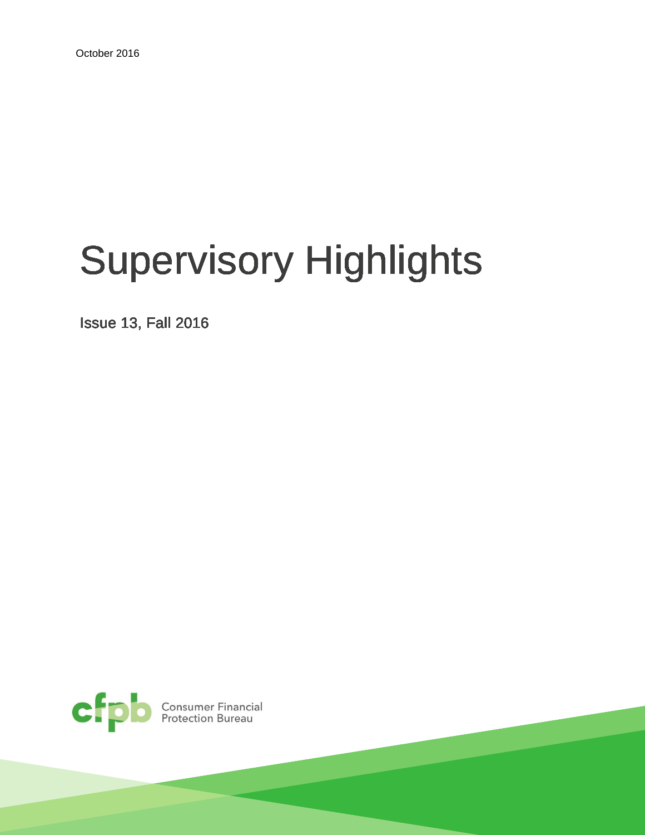# Supervisory Highlights

Issue 13, Fall 2016

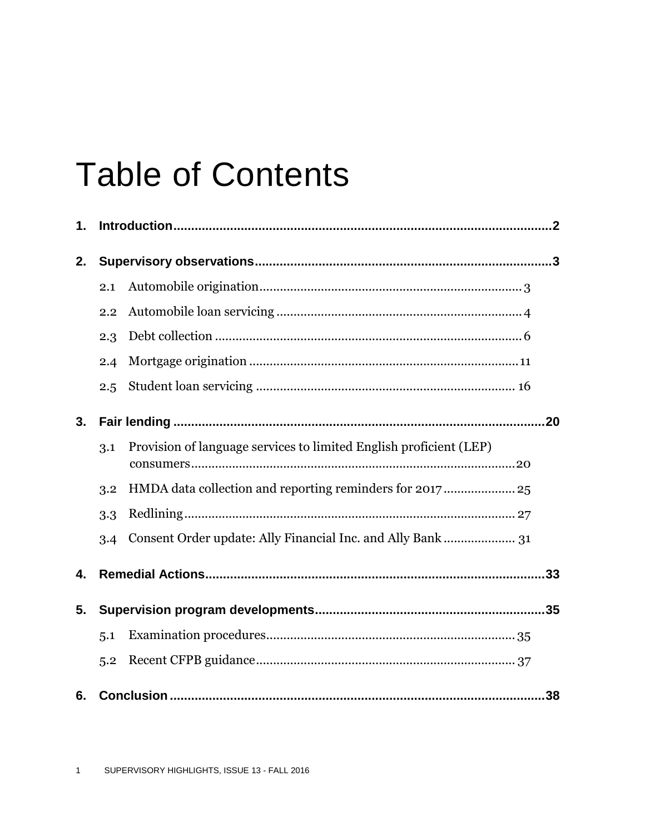## **Table of Contents**

| 1. |     |                                                                    |  |
|----|-----|--------------------------------------------------------------------|--|
| 2. |     |                                                                    |  |
|    | 2.1 |                                                                    |  |
|    | 2.2 |                                                                    |  |
|    | 2.3 |                                                                    |  |
|    | 2.4 |                                                                    |  |
|    | 2.5 |                                                                    |  |
| 3. |     |                                                                    |  |
|    | 3.1 | Provision of language services to limited English proficient (LEP) |  |
|    | 3.2 | HMDA data collection and reporting reminders for 2017 25           |  |
|    | 3.3 |                                                                    |  |
|    | 3.4 | Consent Order update: Ally Financial Inc. and Ally Bank  31        |  |
| 4. |     |                                                                    |  |
| 5. |     |                                                                    |  |
|    | 5.1 |                                                                    |  |
|    | 5.2 |                                                                    |  |
| 6. | .38 |                                                                    |  |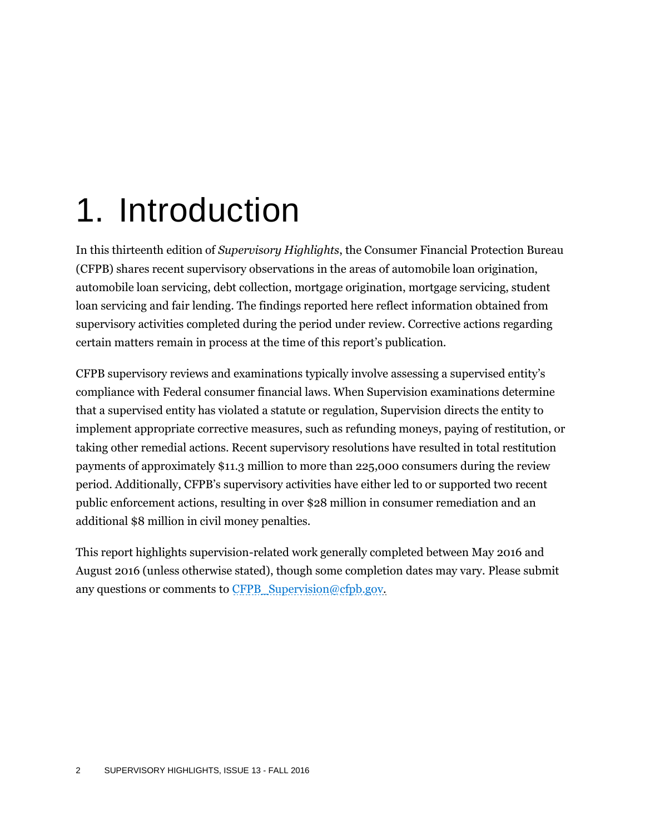## 1. Introduction

In this thirteenth edition of *Supervisory Highlights*, the Consumer Financial Protection Bureau (CFPB) shares recent supervisory observations in the areas of automobile loan origination, automobile loan servicing, debt collection, mortgage origination, mortgage servicing, student loan servicing and fair lending. The findings reported here reflect information obtained from supervisory activities completed during the period under review. Corrective actions regarding certain matters remain in process at the time of this report's publication.

CFPB supervisory reviews and examinations typically involve assessing a supervised entity's compliance with Federal consumer financial laws. When Supervision examinations determine that a supervised entity has violated a statute or regulation, Supervision directs the entity to implement appropriate corrective measures, such as refunding moneys, paying of restitution, or taking other remedial actions. Recent supervisory resolutions have resulted in total restitution payments of approximately \$11.3 million to more than 225,000 consumers during the review period. Additionally, CFPB's supervisory activities have either led to or supported two recent public enforcement actions, resulting in over \$28 million in consumer remediation and an additional \$8 million in civil money penalties.

This report highlights supervision-related work generally completed between May 2016 and August 2016 (unless otherwise stated), though some completion dates may vary. Please submit any questions or comments to [CFPB\\_Supervision@cfpb.gov.](mailto:CFPB_Supervision@cfpb.gov)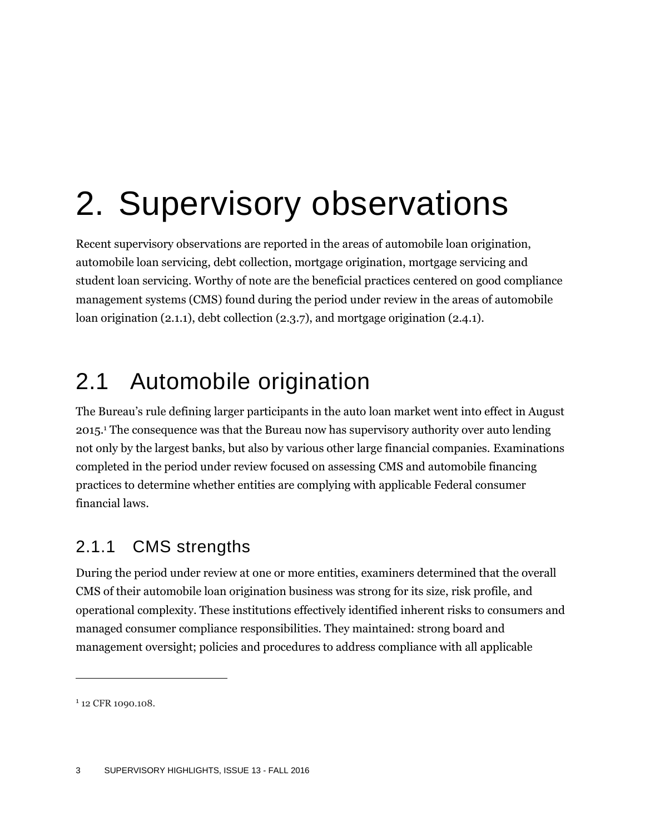## 2. Supervisory observations

Recent supervisory observations are reported in the areas of automobile loan origination, automobile loan servicing, debt collection, mortgage origination, mortgage servicing and student loan servicing. Worthy of note are the beneficial practices centered on good compliance management systems (CMS) found during the period under review in the areas of automobile loan origination [\(2.1.1\)](#page-3-0), debt collection [\(2.3.7\)](#page-11-0), and mortgage origination [\(2.4.1\)](#page-12-0).

## 2.1 Automobile origination

The Bureau's rule defining larger participants in the auto loan market went into effect in August 2015.<sup>1</sup> The consequence was that the Bureau now has supervisory authority over auto lending not only by the largest banks, but also by various other large financial companies. Examinations completed in the period under review focused on assessing CMS and automobile financing practices to determine whether entities are complying with applicable Federal consumer financial laws.

### <span id="page-3-0"></span>2.1.1 CMS strengths

During the period under review at one or more entities, examiners determined that the overall CMS of their automobile loan origination business was strong for its size, risk profile, and operational complexity. These institutions effectively identified inherent risks to consumers and managed consumer compliance responsibilities. They maintained: strong board and management oversight; policies and procedures to address compliance with all applicable

<sup>&</sup>lt;sup>1</sup> 12 CFR 1090.108.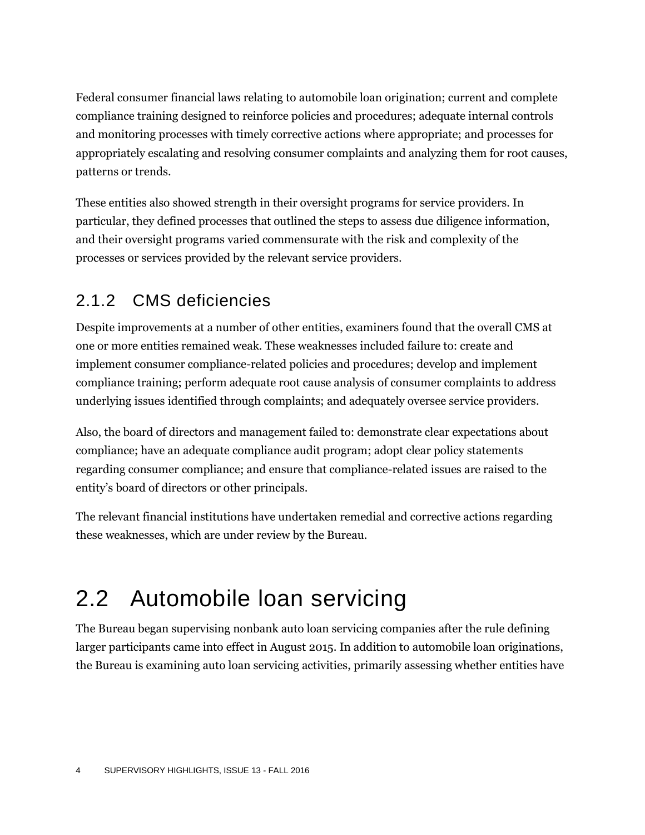Federal consumer financial laws relating to automobile loan origination; current and complete compliance training designed to reinforce policies and procedures; adequate internal controls and monitoring processes with timely corrective actions where appropriate; and processes for appropriately escalating and resolving consumer complaints and analyzing them for root causes, patterns or trends.

These entities also showed strength in their oversight programs for service providers. In particular, they defined processes that outlined the steps to assess due diligence information, and their oversight programs varied commensurate with the risk and complexity of the processes or services provided by the relevant service providers.

### 2.1.2 CMS deficiencies

Despite improvements at a number of other entities, examiners found that the overall CMS at one or more entities remained weak. These weaknesses included failure to: create and implement consumer compliance-related policies and procedures; develop and implement compliance training; perform adequate root cause analysis of consumer complaints to address underlying issues identified through complaints; and adequately oversee service providers.

Also, the board of directors and management failed to: demonstrate clear expectations about compliance; have an adequate compliance audit program; adopt clear policy statements regarding consumer compliance; and ensure that compliance-related issues are raised to the entity's board of directors or other principals.

The relevant financial institutions have undertaken remedial and corrective actions regarding these weaknesses, which are under review by the Bureau.

## 2.2 Automobile loan servicing

The Bureau began supervising nonbank auto loan servicing companies after the rule defining larger participants came into effect in August 2015. In addition to automobile loan originations, the Bureau is examining auto loan servicing activities, primarily assessing whether entities have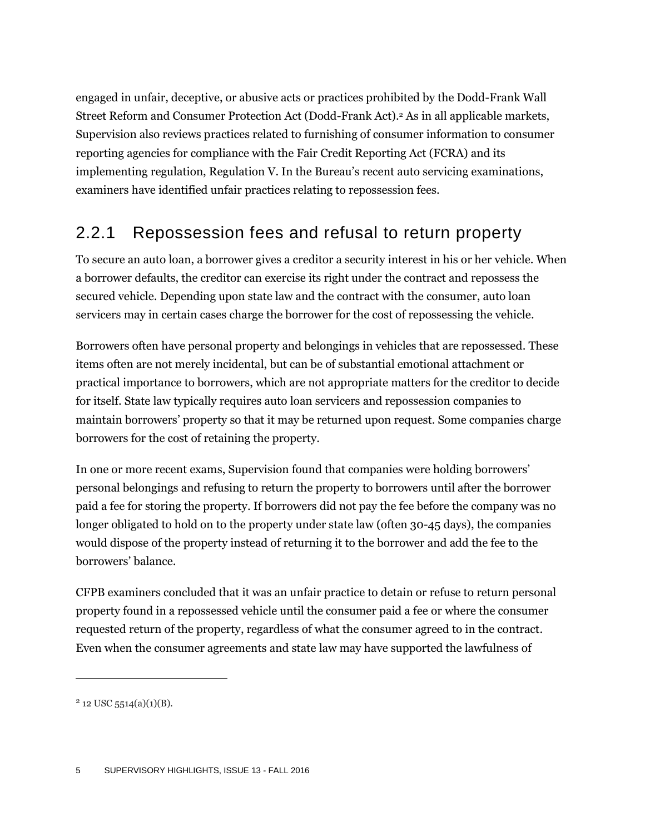engaged in unfair, deceptive, or abusive acts or practices prohibited by the Dodd-Frank Wall Street Reform and Consumer Protection Act (Dodd-Frank Act). <sup>2</sup> As in all applicable markets, Supervision also reviews practices related to furnishing of consumer information to consumer reporting agencies for compliance with the Fair Credit Reporting Act (FCRA) and its implementing regulation, Regulation V. In the Bureau's recent auto servicing examinations, examiners have identified unfair practices relating to repossession fees.

### 2.2.1 Repossession fees and refusal to return property

To secure an auto loan, a borrower gives a creditor a security interest in his or her vehicle. When a borrower defaults, the creditor can exercise its right under the contract and repossess the secured vehicle. Depending upon state law and the contract with the consumer, auto loan servicers may in certain cases charge the borrower for the cost of repossessing the vehicle.

Borrowers often have personal property and belongings in vehicles that are repossessed. These items often are not merely incidental, but can be of substantial emotional attachment or practical importance to borrowers, which are not appropriate matters for the creditor to decide for itself. State law typically requires auto loan servicers and repossession companies to maintain borrowers' property so that it may be returned upon request. Some companies charge borrowers for the cost of retaining the property.

In one or more recent exams, Supervision found that companies were holding borrowers' personal belongings and refusing to return the property to borrowers until after the borrower paid a fee for storing the property. If borrowers did not pay the fee before the company was no longer obligated to hold on to the property under state law (often 30-45 days), the companies would dispose of the property instead of returning it to the borrower and add the fee to the borrowers' balance.

CFPB examiners concluded that it was an unfair practice to detain or refuse to return personal property found in a repossessed vehicle until the consumer paid a fee or where the consumer requested return of the property, regardless of what the consumer agreed to in the contract. Even when the consumer agreements and state law may have supported the lawfulness of

 $2$  12 USC 5514(a)(1)(B).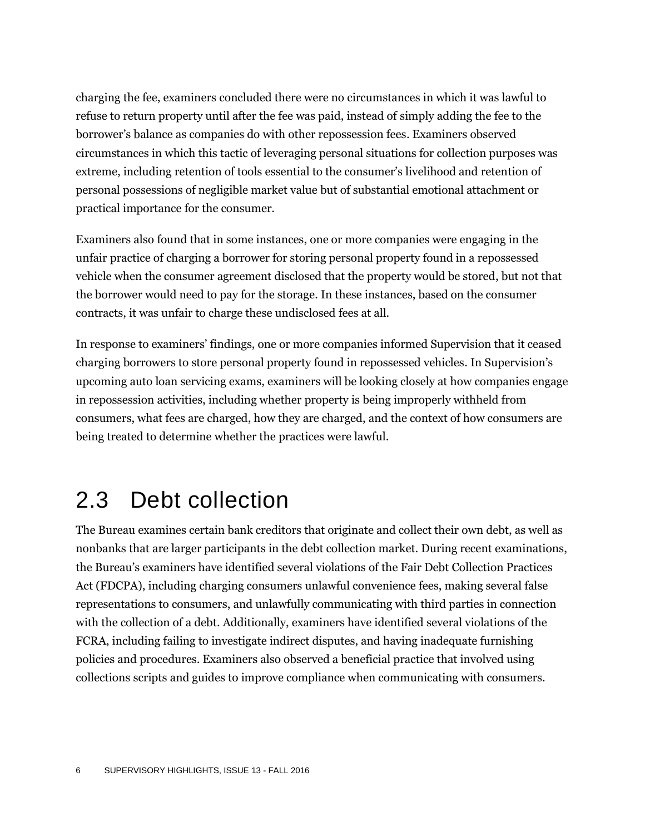charging the fee, examiners concluded there were no circumstances in which it was lawful to refuse to return property until after the fee was paid, instead of simply adding the fee to the borrower's balance as companies do with other repossession fees. Examiners observed circumstances in which this tactic of leveraging personal situations for collection purposes was extreme, including retention of tools essential to the consumer's livelihood and retention of personal possessions of negligible market value but of substantial emotional attachment or practical importance for the consumer.

Examiners also found that in some instances, one or more companies were engaging in the unfair practice of charging a borrower for storing personal property found in a repossessed vehicle when the consumer agreement disclosed that the property would be stored, but not that the borrower would need to pay for the storage. In these instances, based on the consumer contracts, it was unfair to charge these undisclosed fees at all.

In response to examiners' findings, one or more companies informed Supervision that it ceased charging borrowers to store personal property found in repossessed vehicles. In Supervision's upcoming auto loan servicing exams, examiners will be looking closely at how companies engage in repossession activities, including whether property is being improperly withheld from consumers, what fees are charged, how they are charged, and the context of how consumers are being treated to determine whether the practices were lawful.

### 2.3 Debt collection

The Bureau examines certain bank creditors that originate and collect their own debt, as well as nonbanks that are larger participants in the debt collection market. During recent examinations, the Bureau's examiners have identified several violations of the Fair Debt Collection Practices Act (FDCPA), including charging consumers unlawful convenience fees, making several false representations to consumers, and unlawfully communicating with third parties in connection with the collection of a debt. Additionally, examiners have identified several violations of the FCRA, including failing to investigate indirect disputes, and having inadequate furnishing policies and procedures. Examiners also observed a beneficial practice that involved using collections scripts and guides to improve compliance when communicating with consumers.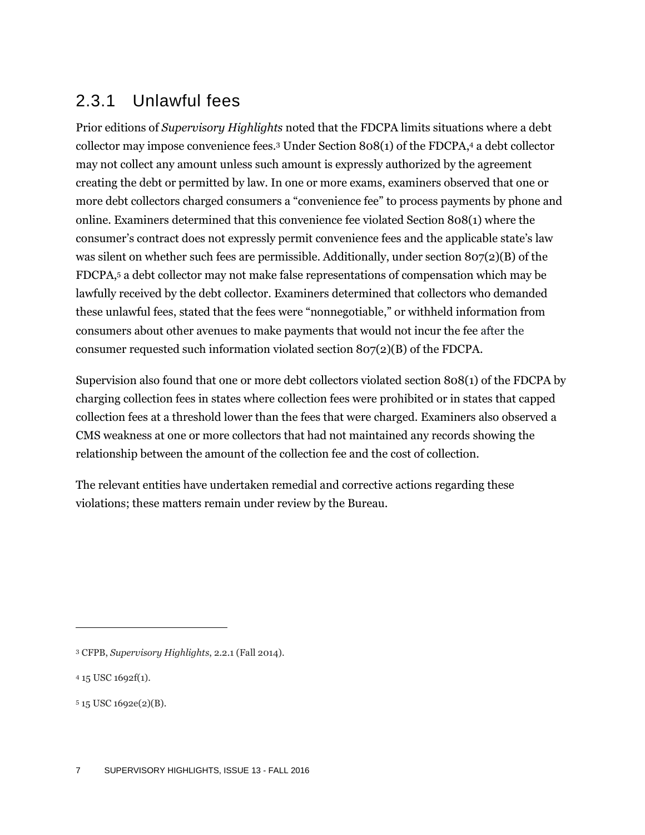### 2.3.1 Unlawful fees

Prior editions of *Supervisory Highlights* noted that the FDCPA limits situations where a debt collector may impose convenience fees.<sup>3</sup> Under Section 808(1) of the FDCPA, <sup>4</sup> a debt collector may not collect any amount unless such amount is expressly authorized by the agreement creating the debt or permitted by law. In one or more exams, examiners observed that one or more debt collectors charged consumers a "convenience fee" to process payments by phone and online. Examiners determined that this convenience fee violated Section 808(1) where the consumer's contract does not expressly permit convenience fees and the applicable state's law was silent on whether such fees are permissible. Additionally, under section 807(2)(B) of the FDCPA, <sup>5</sup> a debt collector may not make false representations of compensation which may be lawfully received by the debt collector. Examiners determined that collectors who demanded these unlawful fees, stated that the fees were "nonnegotiable," or withheld information from consumers about other avenues to make payments that would not incur the fee after the consumer requested such information violated section  $8\sigma/(2)$ (B) of the FDCPA.

Supervision also found that one or more debt collectors violated section 808(1) of the FDCPA by charging collection fees in states where collection fees were prohibited or in states that capped collection fees at a threshold lower than the fees that were charged. Examiners also observed a CMS weakness at one or more collectors that had not maintained any records showing the relationship between the amount of the collection fee and the cost of collection.

The relevant entities have undertaken remedial and corrective actions regarding these violations; these matters remain under review by the Bureau.

<sup>3</sup> CFPB, *Supervisory Highlights*, 2.2.1 (Fall 2014).

<sup>4</sup> 15 USC 1692f(1).

<sup>5</sup> 15 USC 1692e(2)(B).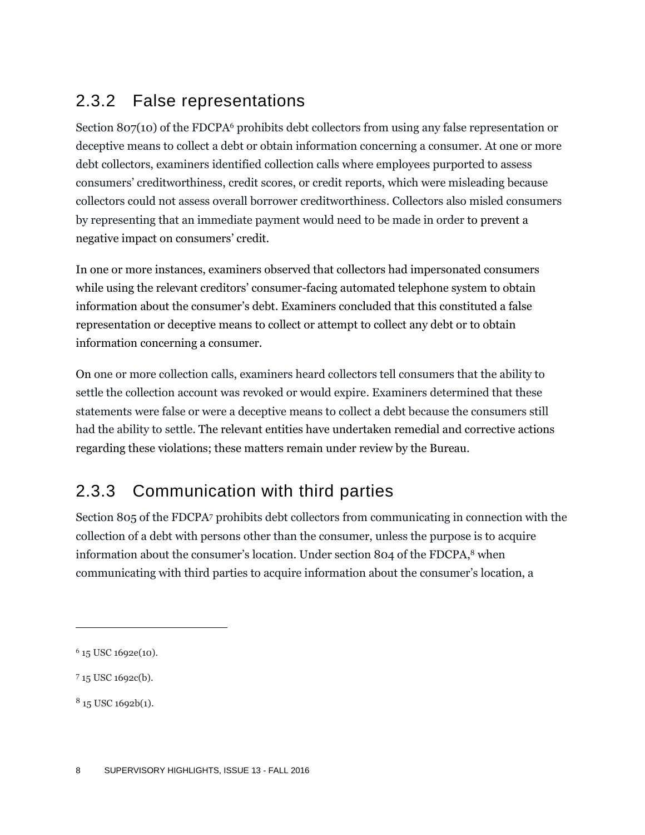### 2.3.2 False representations

Section 807(10) of the FDCPA<sup>6</sup> prohibits debt collectors from using any false representation or deceptive means to collect a debt or obtain information concerning a consumer. At one or more debt collectors, examiners identified collection calls where employees purported to assess consumers' creditworthiness, credit scores, or credit reports, which were misleading because collectors could not assess overall borrower creditworthiness. Collectors also misled consumers by representing that an immediate payment would need to be made in order to prevent a negative impact on consumers' credit.

In one or more instances, examiners observed that collectors had impersonated consumers while using the relevant creditors' consumer-facing automated telephone system to obtain information about the consumer's debt. Examiners concluded that this constituted a false representation or deceptive means to collect or attempt to collect any debt or to obtain information concerning a consumer.

On one or more collection calls, examiners heard collectors tell consumers that the ability to settle the collection account was revoked or would expire. Examiners determined that these statements were false or were a deceptive means to collect a debt because the consumers still had the ability to settle. The relevant entities have undertaken remedial and corrective actions regarding these violations; these matters remain under review by the Bureau.

### 2.3.3 Communication with third parties

Section 805 of the FDCPA<sup>7</sup> prohibits debt collectors from communicating in connection with the collection of a debt with persons other than the consumer, unless the purpose is to acquire information about the consumer's location. Under section 804 of the FDCPA, <sup>8</sup> when communicating with third parties to acquire information about the consumer's location, a

<sup>6</sup> 15 USC 1692e(10).

<sup>7</sup> 15 USC 1692c(b).

<sup>8</sup> 15 USC 1692b(1).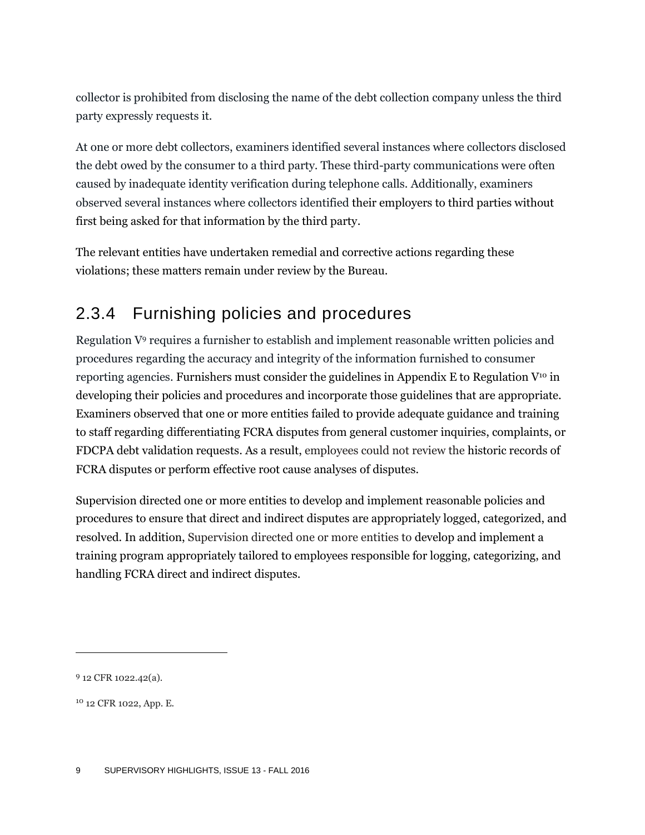collector is prohibited from disclosing the name of the debt collection company unless the third party expressly requests it.

At one or more debt collectors, examiners identified several instances where collectors disclosed the debt owed by the consumer to a third party. These third-party communications were often caused by inadequate identity verification during telephone calls. Additionally, examiners observed several instances where collectors identified their employers to third parties without first being asked for that information by the third party.

The relevant entities have undertaken remedial and corrective actions regarding these violations; these matters remain under review by the Bureau.

### 2.3.4 Furnishing policies and procedures

Regulation V<sup>9</sup> requires a furnisher to establish and implement reasonable written policies and procedures regarding the accuracy and integrity of the information furnished to consumer reporting agencies. Furnishers must consider the guidelines in Appendix E to Regulation  $V^{10}$  in developing their policies and procedures and incorporate those guidelines that are appropriate. Examiners observed that one or more entities failed to provide adequate guidance and training to staff regarding differentiating FCRA disputes from general customer inquiries, complaints, or FDCPA debt validation requests. As a result, employees could not review the historic records of FCRA disputes or perform effective root cause analyses of disputes.

Supervision directed one or more entities to develop and implement reasonable policies and procedures to ensure that direct and indirect disputes are appropriately logged, categorized, and resolved. In addition, Supervision directed one or more entities to develop and implement a training program appropriately tailored to employees responsible for logging, categorizing, and handling FCRA direct and indirect disputes.

<sup>&</sup>lt;sup>9</sup> 12 CFR 1022.42(a).

<sup>10</sup> 12 CFR 1022, App. E.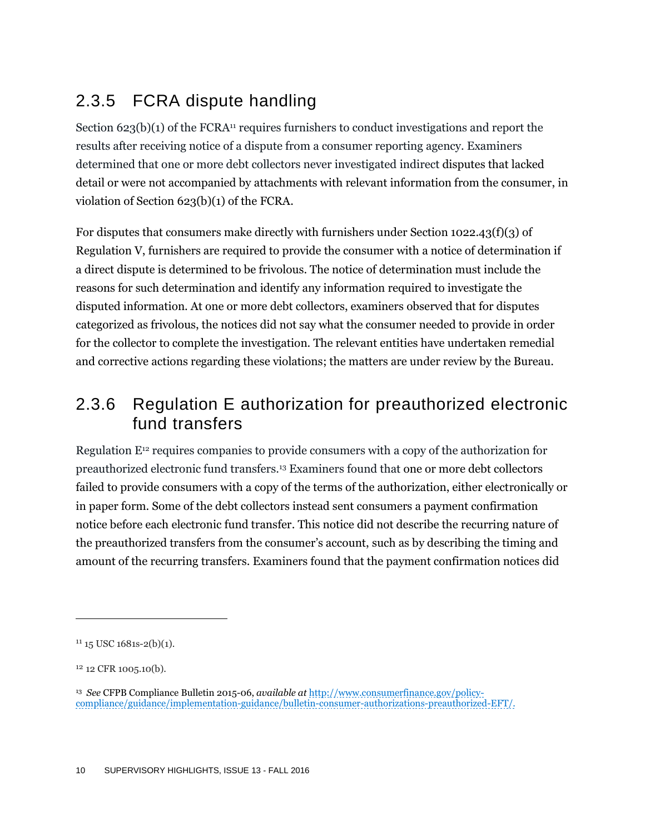### 2.3.5 FCRA dispute handling

Section  $623(b)(1)$  of the FCRA<sup>11</sup> requires furnishers to conduct investigations and report the results after receiving notice of a dispute from a consumer reporting agency. Examiners determined that one or more debt collectors never investigated indirect disputes that lacked detail or were not accompanied by attachments with relevant information from the consumer, in violation of Section 623(b)(1) of the FCRA.

For disputes that consumers make directly with furnishers under Section 1022.43(f)(3) of Regulation V, furnishers are required to provide the consumer with a notice of determination if a direct dispute is determined to be frivolous. The notice of determination must include the reasons for such determination and identify any information required to investigate the disputed information. At one or more debt collectors, examiners observed that for disputes categorized as frivolous, the notices did not say what the consumer needed to provide in order for the collector to complete the investigation. The relevant entities have undertaken remedial and corrective actions regarding these violations; the matters are under review by the Bureau.

### 2.3.6 Regulation E authorization for preauthorized electronic fund transfers

Regulation E<sup>12</sup> requires companies to provide consumers with a copy of the authorization for preauthorized electronic fund transfers.<sup>13</sup> Examiners found that one or more debt collectors failed to provide consumers with a copy of the terms of the authorization, either electronically or in paper form. Some of the debt collectors instead sent consumers a payment confirmation notice before each electronic fund transfer. This notice did not describe the recurring nature of the preauthorized transfers from the consumer's account, such as by describing the timing and amount of the recurring transfers. Examiners found that the payment confirmation notices did

 $11$  15 USC 1681s-2(b)(1).

<sup>12</sup> 12 CFR 1005.10(b).

<sup>13</sup> *See* CFPB Compliance Bulletin 2015-06, *available at* [http://www.consumerfinance.gov/policy](http://www.consumerfinance.gov/policy-compliance/guidance/implementation-guidance/bulletin-consumer-authorizations-preauthorized-EFT/)[compliance/guidance/implementation-guidance/bulletin-consumer-authorizations-preauthorized-EFT/.](http://www.consumerfinance.gov/policy-compliance/guidance/implementation-guidance/bulletin-consumer-authorizations-preauthorized-EFT/)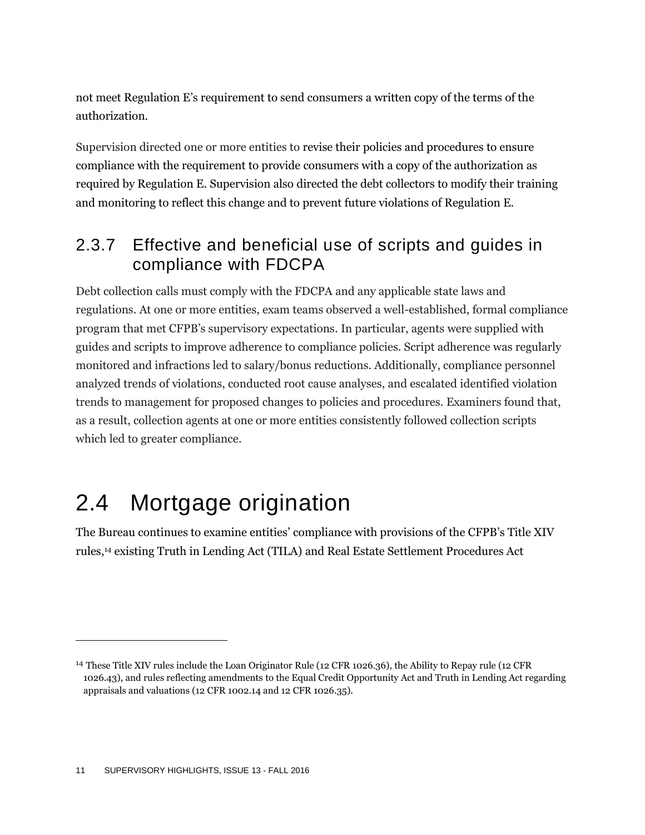not meet Regulation E's requirement to send consumers a written copy of the terms of the authorization.

Supervision directed one or more entities to revise their policies and procedures to ensure compliance with the requirement to provide consumers with a copy of the authorization as required by Regulation E. Supervision also directed the debt collectors to modify their training and monitoring to reflect this change and to prevent future violations of Regulation E.

### <span id="page-11-0"></span>2.3.7 Effective and beneficial use of scripts and guides in compliance with FDCPA

Debt collection calls must comply with the FDCPA and any applicable state laws and regulations. At one or more entities, exam teams observed a well-established, formal compliance program that met CFPB's supervisory expectations. In particular, agents were supplied with guides and scripts to improve adherence to compliance policies. Script adherence was regularly monitored and infractions led to salary/bonus reductions. Additionally, compliance personnel analyzed trends of violations, conducted root cause analyses, and escalated identified violation trends to management for proposed changes to policies and procedures. Examiners found that, as a result, collection agents at one or more entities consistently followed collection scripts which led to greater compliance.

## 2.4 Mortgage origination

The Bureau continues to examine entities' compliance with provisions of the CFPB's Title XIV rules,<sup>14</sup> existing Truth in Lending Act (TILA) and Real Estate Settlement Procedures Act

<sup>14</sup> These Title XIV rules include the Loan Originator Rule (12 CFR 1026.36), the Ability to Repay rule (12 CFR 1026.43), and rules reflecting amendments to the Equal Credit Opportunity Act and Truth in Lending Act regarding appraisals and valuations (12 CFR 1002.14 and 12 CFR 1026.35).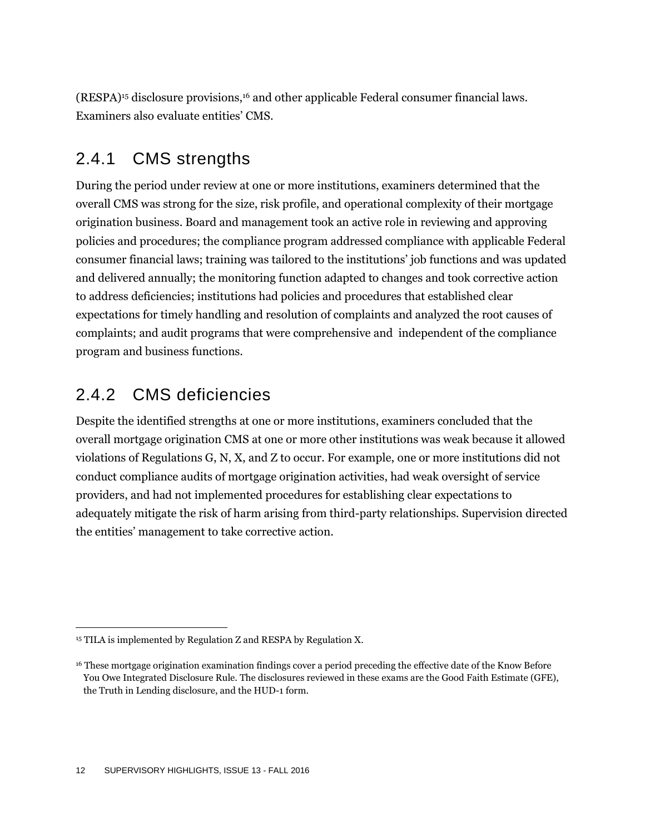(RESPA)<sup>15</sup> disclosure provisions,<sup>16</sup> and other applicable Federal consumer financial laws. Examiners also evaluate entities' CMS.

#### <span id="page-12-0"></span>2.4.1 CMS strengths

During the period under review at one or more institutions, examiners determined that the overall CMS was strong for the size, risk profile, and operational complexity of their mortgage origination business. Board and management took an active role in reviewing and approving policies and procedures; the compliance program addressed compliance with applicable Federal consumer financial laws; training was tailored to the institutions' job functions and was updated and delivered annually; the monitoring function adapted to changes and took corrective action to address deficiencies; institutions had policies and procedures that established clear expectations for timely handling and resolution of complaints and analyzed the root causes of complaints; and audit programs that were comprehensive and independent of the compliance program and business functions.

### 2.4.2 CMS deficiencies

 $\overline{a}$ 

Despite the identified strengths at one or more institutions, examiners concluded that the overall mortgage origination CMS at one or more other institutions was weak because it allowed violations of Regulations G, N, X, and Z to occur. For example, one or more institutions did not conduct compliance audits of mortgage origination activities, had weak oversight of service providers, and had not implemented procedures for establishing clear expectations to adequately mitigate the risk of harm arising from third-party relationships. Supervision directed the entities' management to take corrective action.

<sup>&</sup>lt;sup>15</sup> TILA is implemented by Regulation Z and RESPA by Regulation X.

<sup>16</sup> These mortgage origination examination findings cover a period preceding the effective date of the Know Before You Owe Integrated Disclosure Rule. The disclosures reviewed in these exams are the Good Faith Estimate (GFE), the Truth in Lending disclosure, and the HUD-1 form.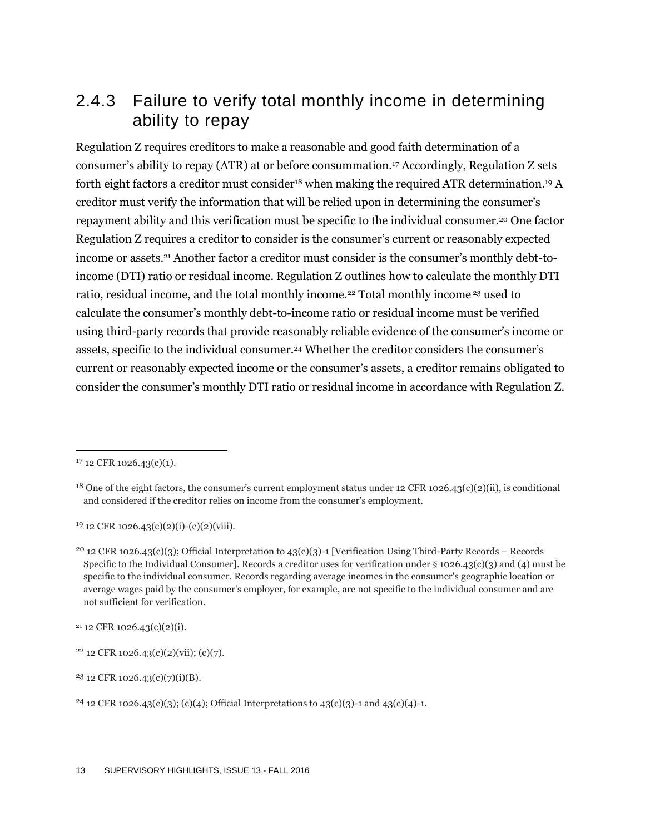### 2.4.3 Failure to verify total monthly income in determining ability to repay

Regulation Z requires creditors to make a reasonable and good faith determination of a consumer's ability to repay (ATR) at or before consummation.<sup>17</sup> Accordingly, Regulation Z sets forth eight factors a creditor must consider<sup>18</sup> when making the required ATR determination.<sup>19</sup> A creditor must verify the information that will be relied upon in determining the consumer's repayment ability and this verification must be specific to the individual consumer.<sup>20</sup> One factor Regulation Z requires a creditor to consider is the consumer's current or reasonably expected income or assets.<sup>21</sup> Another factor a creditor must consider is the consumer's monthly debt-toincome (DTI) ratio or residual income. Regulation Z outlines how to calculate the monthly DTI ratio, residual income, and the total monthly income.<sup>22</sup> Total monthly income <sup>23</sup> used to calculate the consumer's monthly debt-to-income ratio or residual income must be verified using third-party records that provide reasonably reliable evidence of the consumer's income or assets, specific to the individual consumer.<sup>24</sup> Whether the creditor considers the consumer's current or reasonably expected income or the consumer's assets, a creditor remains obligated to consider the consumer's monthly DTI ratio or residual income in accordance with Regulation Z.

 $\overline{a}$ 

 $19$  12 CFR 1026.43(c)(2)(i)-(c)(2)(viii).

 $21$  12 CFR 1026.43(c)(2)(i).

<sup>&</sup>lt;sup>17</sup> 12 CFR 1026.43(c)(1).

<sup>&</sup>lt;sup>18</sup> One of the eight factors, the consumer's current employment status under 12 CFR 1026.43(c)(2)(ii), is conditional and considered if the creditor relies on income from the consumer's employment.

<sup>&</sup>lt;sup>20</sup> 12 CFR 1026.43(c)(3); Official Interpretation to 43(c)(3)-1 [Verification Using Third-Party Records – Records Specific to the Individual Consumer]. Records a creditor uses for verification under § 1026.43(c)(3) and (4) must be specific to the individual consumer. Records regarding average incomes in the consumer's geographic location or average wages paid by the consumer's employer, for example, are not specific to the individual consumer and are not sufficient for verification.

 $22$  12 CFR 1026.43(c)(2)(vii); (c)(7).

<sup>23</sup> 12 CFR 1026.43(c)(7)(i)(B).

<sup>&</sup>lt;sup>24</sup> 12 CFR 1026.43(c)(3); (c)(4); Official Interpretations to 43(c)(3)-1 and 43(c)(4)-1.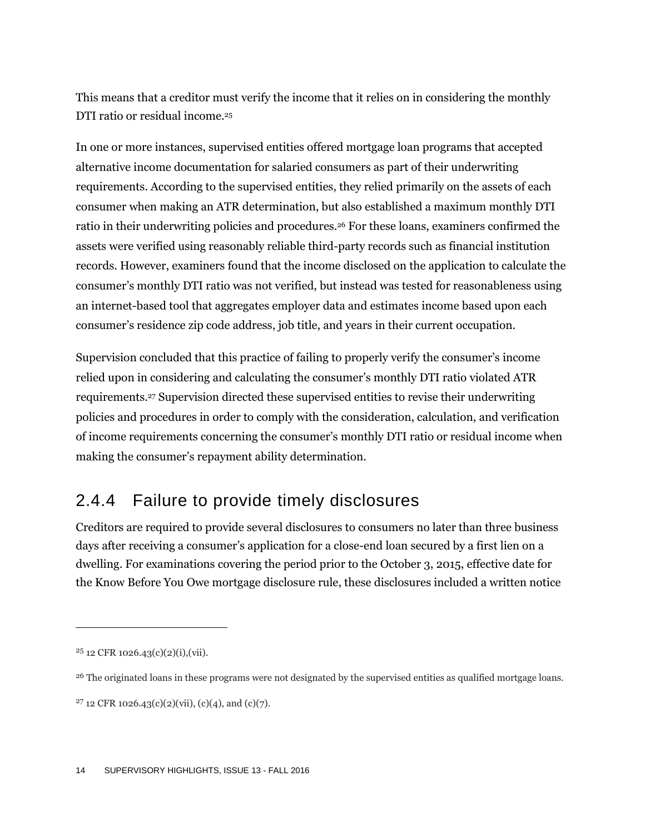This means that a creditor must verify the income that it relies on in considering the monthly DTI ratio or residual income.<sup>25</sup>

In one or more instances, supervised entities offered mortgage loan programs that accepted alternative income documentation for salaried consumers as part of their underwriting requirements. According to the supervised entities, they relied primarily on the assets of each consumer when making an ATR determination, but also established a maximum monthly DTI ratio in their underwriting policies and procedures.<sup>26</sup> For these loans, examiners confirmed the assets were verified using reasonably reliable third-party records such as financial institution records. However, examiners found that the income disclosed on the application to calculate the consumer's monthly DTI ratio was not verified, but instead was tested for reasonableness using an internet-based tool that aggregates employer data and estimates income based upon each consumer's residence zip code address, job title, and years in their current occupation.

Supervision concluded that this practice of failing to properly verify the consumer's income relied upon in considering and calculating the consumer's monthly DTI ratio violated ATR requirements.<sup>27</sup> Supervision directed these supervised entities to revise their underwriting policies and procedures in order to comply with the consideration, calculation, and verification of income requirements concerning the consumer's monthly DTI ratio or residual income when making the consumer's repayment ability determination.

### 2.4.4 Failure to provide timely disclosures

Creditors are required to provide several disclosures to consumers no later than three business days after receiving a consumer's application for a close-end loan secured by a first lien on a dwelling. For examinations covering the period prior to the October 3, 2015, effective date for the Know Before You Owe mortgage disclosure rule, these disclosures included a written notice

 $25$  12 CFR 1026.43(c)(2)(i),(vii).

<sup>&</sup>lt;sup>26</sup> The originated loans in these programs were not designated by the supervised entities as qualified mortgage loans.

<sup>&</sup>lt;sup>27</sup> 12 CFR 1026.43(c)(2)(vii), (c)(4), and (c)(7).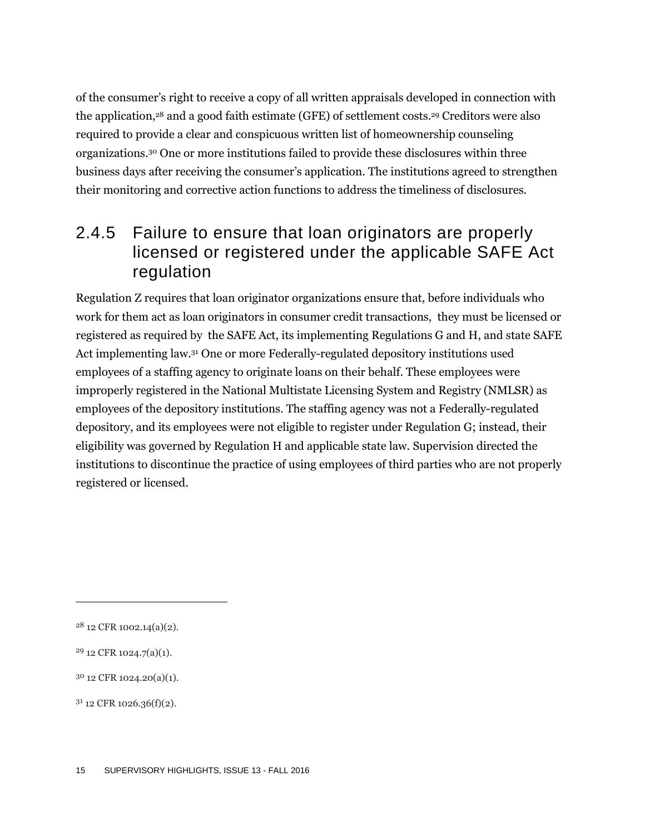of the consumer's right to receive a copy of all written appraisals developed in connection with the application,<sup>28</sup> and a good faith estimate (GFE) of settlement costs.<sup>29</sup> Creditors were also required to provide a clear and conspicuous written list of homeownership counseling organizations.<sup>30</sup> One or more institutions failed to provide these disclosures within three business days after receiving the consumer's application. The institutions agreed to strengthen their monitoring and corrective action functions to address the timeliness of disclosures.

### 2.4.5 Failure to ensure that loan originators are properly licensed or registered under the applicable SAFE Act regulation

Regulation Z requires that loan originator organizations ensure that, before individuals who work for them act as loan originators in consumer credit transactions, they must be licensed or registered as required by the SAFE Act, its implementing Regulations G and H, and state SAFE Act implementing law. <sup>31</sup> One or more Federally-regulated depository institutions used employees of a staffing agency to originate loans on their behalf. These employees were improperly registered in the National Multistate Licensing System and Registry (NMLSR) as employees of the depository institutions. The staffing agency was not a Federally-regulated depository, and its employees were not eligible to register under Regulation G; instead, their eligibility was governed by Regulation H and applicable state law. Supervision directed the institutions to discontinue the practice of using employees of third parties who are not properly registered or licensed.

<sup>28</sup> 12 CFR 1002.14(a)(2).

<sup>29</sup> 12 CFR 1024.7(a)(1).

<sup>30</sup> 12 CFR 1024.20(a)(1).

 $3<sup>1</sup>$  12 CFR 1026.36(f)(2).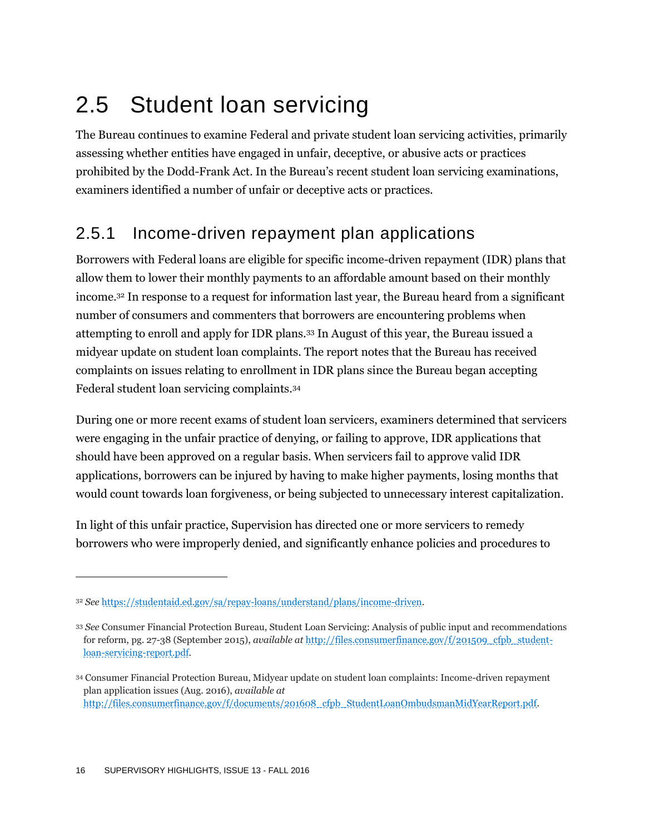## 2.5 Student loan servicing

The Bureau continues to examine Federal and private student loan servicing activities, primarily assessing whether entities have engaged in unfair, deceptive, or abusive acts or practices prohibited by the Dodd-Frank Act. In the Bureau's recent student loan servicing examinations, examiners identified a number of unfair or deceptive acts or practices.

### 2.5.1 Income-driven repayment plan applications

Borrowers with Federal loans are eligible for specific income-driven repayment (IDR) plans that allow them to lower their monthly payments to an affordable amount based on their monthly income.<sup>32</sup> In response to a request for information last year, the Bureau heard from a significant number of consumers and commenters that borrowers are encountering problems when attempting to enroll and apply for IDR plans.<sup>33</sup> In August of this year, the Bureau issued a midyear update on student loan complaints. The report notes that the Bureau has received complaints on issues relating to enrollment in IDR plans since the Bureau began accepting Federal student loan servicing complaints.<sup>34</sup>

During one or more recent exams of student loan servicers, examiners determined that servicers were engaging in the unfair practice of denying, or failing to approve, IDR applications that should have been approved on a regular basis. When servicers fail to approve valid IDR applications, borrowers can be injured by having to make higher payments, losing months that would count towards loan forgiveness, or being subjected to unnecessary interest capitalization.

In light of this unfair practice, Supervision has directed one or more servicers to remedy borrowers who were improperly denied, and significantly enhance policies and procedures to

<sup>32</sup> *See* [https://studentaid.ed.gov/sa/repay-loans/understand/plans/income-driven.](https://studentaid.ed.gov/sa/repay-loans/understand/plans/income-driven)

<sup>33</sup> *See* Consumer Financial Protection Bureau, Student Loan Servicing: Analysis of public input and recommendations for reform, pg. 27-38 (September 2015), *available at* [http://files.consumerfinance.gov/f/201509\\_cfpb\\_student](http://files.consumerfinance.gov/f/201509_cfpb_student-loan-servicing-report.pdf)[loan-servicing-report.pdf.](http://files.consumerfinance.gov/f/201509_cfpb_student-loan-servicing-report.pdf) 

<sup>34</sup> Consumer Financial Protection Bureau, Midyear update on student loan complaints: Income-driven repayment plan application issues (Aug. 2016), *available at*  [http://files.consumerfinance.gov/f/documents/201608\\_cfpb\\_StudentLoanOmbudsmanMidYearReport.pdf.](http://files.consumerfinance.gov/f/documents/201608_cfpb_StudentLoanOmbudsmanMidYearReport.pdf)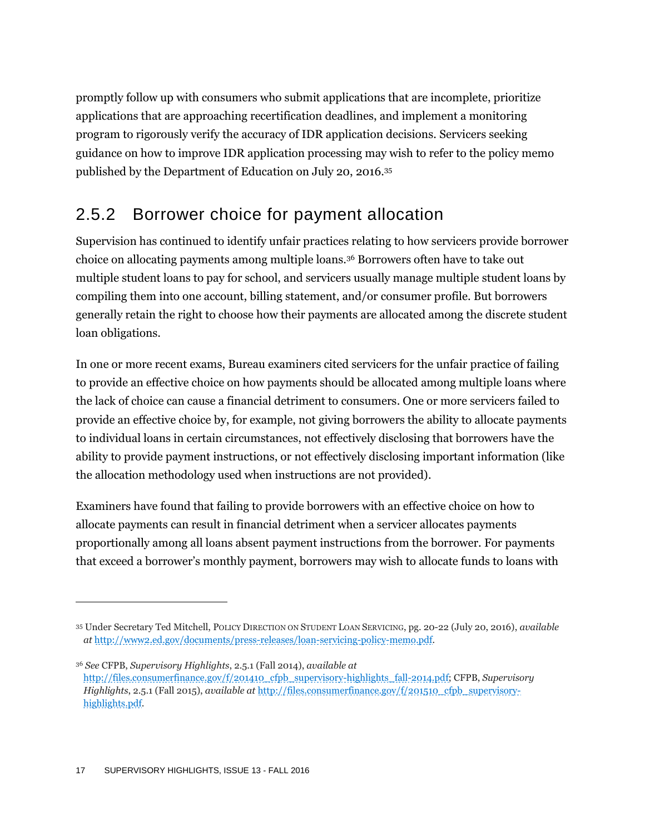promptly follow up with consumers who submit applications that are incomplete, prioritize applications that are approaching recertification deadlines, and implement a monitoring program to rigorously verify the accuracy of IDR application decisions. Servicers seeking guidance on how to improve IDR application processing may wish to refer to the policy memo published by the Department of Education on July 20, 2016.<sup>35</sup>

### 2.5.2 Borrower choice for payment allocation

Supervision has continued to identify unfair practices relating to how servicers provide borrower choice on allocating payments among multiple loans.<sup>36</sup> Borrowers often have to take out multiple student loans to pay for school, and servicers usually manage multiple student loans by compiling them into one account, billing statement, and/or consumer profile. But borrowers generally retain the right to choose how their payments are allocated among the discrete student loan obligations.

In one or more recent exams, Bureau examiners cited servicers for the unfair practice of failing to provide an effective choice on how payments should be allocated among multiple loans where the lack of choice can cause a financial detriment to consumers. One or more servicers failed to provide an effective choice by, for example, not giving borrowers the ability to allocate payments to individual loans in certain circumstances, not effectively disclosing that borrowers have the ability to provide payment instructions, or not effectively disclosing important information (like the allocation methodology used when instructions are not provided).

Examiners have found that failing to provide borrowers with an effective choice on how to allocate payments can result in financial detriment when a servicer allocates payments proportionally among all loans absent payment instructions from the borrower. For payments that exceed a borrower's monthly payment, borrowers may wish to allocate funds to loans with

<sup>35</sup> Under Secretary Ted Mitchell, POLICY DIRECTION ON STUDENT LOAN SERVICING, pg. 20-22 (July 20, 2016), *available at* [http://www2.ed.gov/documents/press-releases/loan-servicing-policy-memo.pdf.](http://www2.ed.gov/documents/press-releases/loan-servicing-policy-memo.pdf)

<sup>36</sup> *See* CFPB, *Supervisory Highlights*, 2.5.1 (Fall 2014), *available at*  [http://files.consumerfinance.gov/f/201410\\_cfpb\\_supervisory-highlights\\_fall-2014.pdf;](http://files.consumerfinance.gov/f/201410_cfpb_supervisory-highlights_fall-2014.pdf) CFPB, *Supervisory Highlights*, 2.5.1 (Fall 2015), *available at* [http://files.consumerfinance.gov/f/201510\\_cfpb\\_supervisory](http://files.consumerfinance.gov/f/201510_cfpb_supervisory-highlights.pdf)[highlights.pdf.](http://files.consumerfinance.gov/f/201510_cfpb_supervisory-highlights.pdf)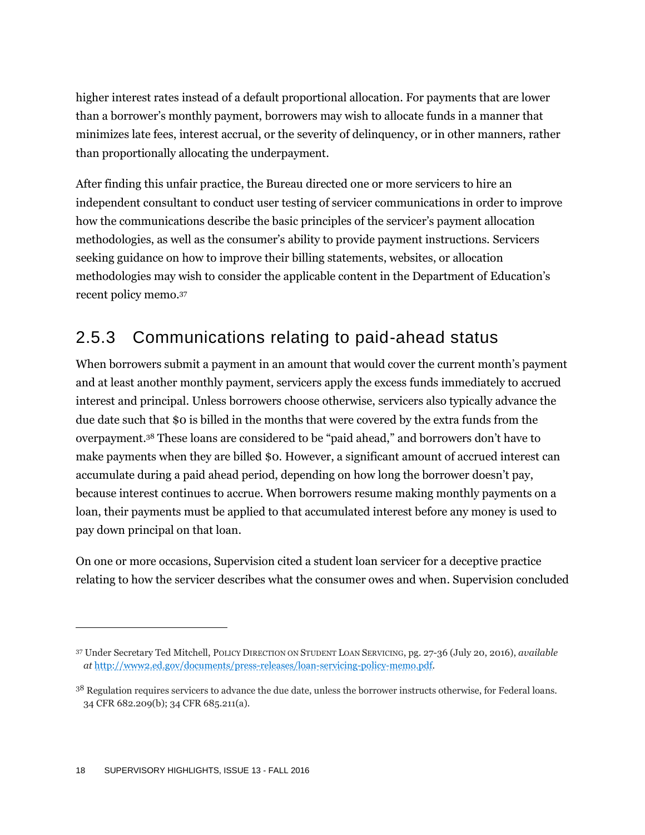higher interest rates instead of a default proportional allocation. For payments that are lower than a borrower's monthly payment, borrowers may wish to allocate funds in a manner that minimizes late fees, interest accrual, or the severity of delinquency, or in other manners, rather than proportionally allocating the underpayment.

After finding this unfair practice, the Bureau directed one or more servicers to hire an independent consultant to conduct user testing of servicer communications in order to improve how the communications describe the basic principles of the servicer's payment allocation methodologies, as well as the consumer's ability to provide payment instructions. Servicers seeking guidance on how to improve their billing statements, websites, or allocation methodologies may wish to consider the applicable content in the Department of Education's recent policy memo.<sup>37</sup>

### 2.5.3 Communications relating to paid-ahead status

When borrowers submit a payment in an amount that would cover the current month's payment and at least another monthly payment, servicers apply the excess funds immediately to accrued interest and principal. Unless borrowers choose otherwise, servicers also typically advance the due date such that \$0 is billed in the months that were covered by the extra funds from the overpayment. <sup>38</sup> These loans are considered to be "paid ahead," and borrowers don't have to make payments when they are billed \$0. However, a significant amount of accrued interest can accumulate during a paid ahead period, depending on how long the borrower doesn't pay, because interest continues to accrue. When borrowers resume making monthly payments on a loan, their payments must be applied to that accumulated interest before any money is used to pay down principal on that loan.

On one or more occasions, Supervision cited a student loan servicer for a deceptive practice relating to how the servicer describes what the consumer owes and when. Supervision concluded

<sup>37</sup> Under Secretary Ted Mitchell, POLICY DIRECTION ON STUDENT LOAN SERVICING, pg. 27-36 (July 20, 2016), *available at* [http://www2.ed.gov/documents/press-releases/loan-servicing-policy-memo.pdf.](http://www2.ed.gov/documents/press-releases/loan-servicing-policy-memo.pdf)

<sup>&</sup>lt;sup>38</sup> Regulation requires servicers to advance the due date, unless the borrower instructs otherwise, for Federal loans. 34 CFR 682.209(b); 34 CFR 685.211(a).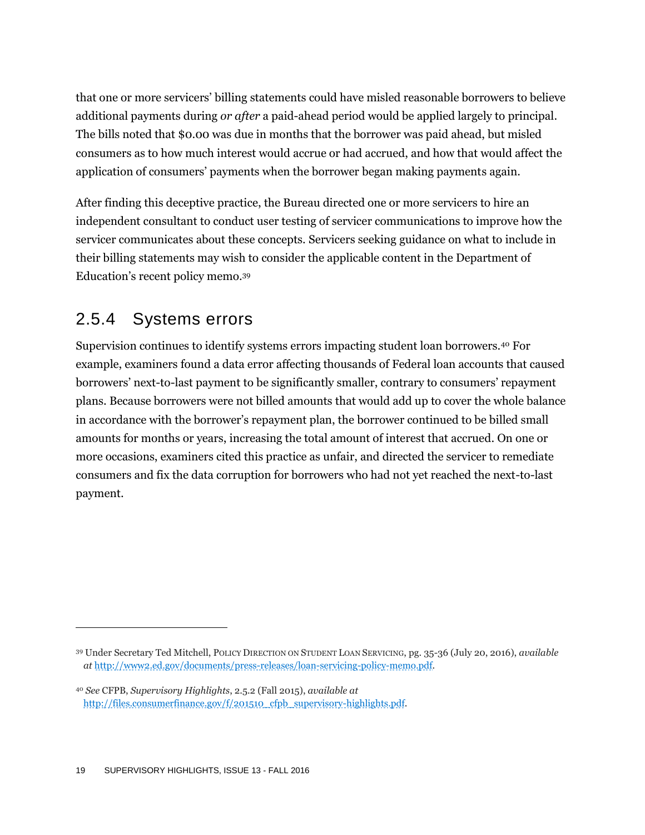that one or more servicers' billing statements could have misled reasonable borrowers to believe additional payments during *or after* a paid-ahead period would be applied largely to principal. The bills noted that \$0.00 was due in months that the borrower was paid ahead, but misled consumers as to how much interest would accrue or had accrued, and how that would affect the application of consumers' payments when the borrower began making payments again.

After finding this deceptive practice, the Bureau directed one or more servicers to hire an independent consultant to conduct user testing of servicer communications to improve how the servicer communicates about these concepts. Servicers seeking guidance on what to include in their billing statements may wish to consider the applicable content in the Department of Education's recent policy memo.<sup>39</sup>

### 2.5.4 Systems errors

Supervision continues to identify systems errors impacting student loan borrowers.<sup>40</sup> For example, examiners found a data error affecting thousands of Federal loan accounts that caused borrowers' next-to-last payment to be significantly smaller, contrary to consumers' repayment plans. Because borrowers were not billed amounts that would add up to cover the whole balance in accordance with the borrower's repayment plan, the borrower continued to be billed small amounts for months or years, increasing the total amount of interest that accrued. On one or more occasions, examiners cited this practice as unfair, and directed the servicer to remediate consumers and fix the data corruption for borrowers who had not yet reached the next-to-last payment.

<sup>39</sup> Under Secretary Ted Mitchell, POLICY DIRECTION ON STUDENT LOAN SERVICING, pg. 35-36 (July 20, 2016), *available at* [http://www2.ed.gov/documents/press-releases/loan-servicing-policy-memo.pdf.](http://www2.ed.gov/documents/press-releases/loan-servicing-policy-memo.pdf)

<sup>40</sup> *See* CFPB, *Supervisory Highlights*, 2.5.2 (Fall 2015), *available at*  [http://files.consumerfinance.gov/f/201510\\_cfpb\\_supervisory-highlights.pdf.](http://files.consumerfinance.gov/f/201510_cfpb_supervisory-highlights.pdf)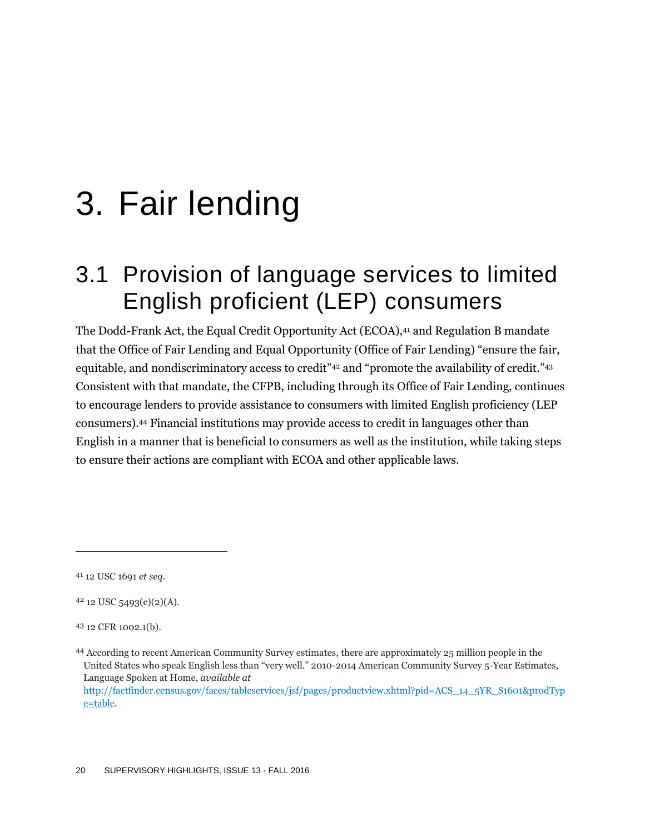## 3. Fair lending

### 3.1 Provision of language services to limited English proficient (LEP) consumers

The Dodd-Frank Act, the Equal Credit Opportunity Act (ECOA),<sup>41</sup> and Regulation B mandate that the Office of Fair Lending and Equal Opportunity (Office of Fair Lending) "ensure the fair, equitable, and nondiscriminatory access to credit"<sup>42</sup> and "promote the availability of credit."<sup>43</sup> Consistent with that mandate, the CFPB, including through its Office of Fair Lending, continues to encourage lenders to provide assistance to consumers with limited English proficiency (LEP consumers). <sup>44</sup> Financial institutions may provide access to credit in languages other than English in a manner that is beneficial to consumers as well as the institution, while taking steps to ensure their actions are compliant with ECOA and other applicable laws.

<sup>41</sup> 12 USC 1691 *et seq.*

<sup>42</sup> 12 USC 5493(c)(2)(A).

<sup>43</sup> 12 CFR 1002.1(b).

<sup>44</sup> According to recent American Community Survey estimates, there are approximately 25 million people in the United States who speak English less than "very well." 2010-2014 American Community Survey 5-Year Estimates, Language Spoken at Home, *available at* 

[http://factfinder.census.gov/faces/tableservices/jsf/pages/productview.xhtml?pid=ACS\\_14\\_5YR\\_S1601&prodTyp](http://factfinder.census.gov/faces/tableservices/jsf/pages/productview.xhtml?pid=ACS_14_5YR_S1601&prodType=table) [e=table.](http://factfinder.census.gov/faces/tableservices/jsf/pages/productview.xhtml?pid=ACS_14_5YR_S1601&prodType=table)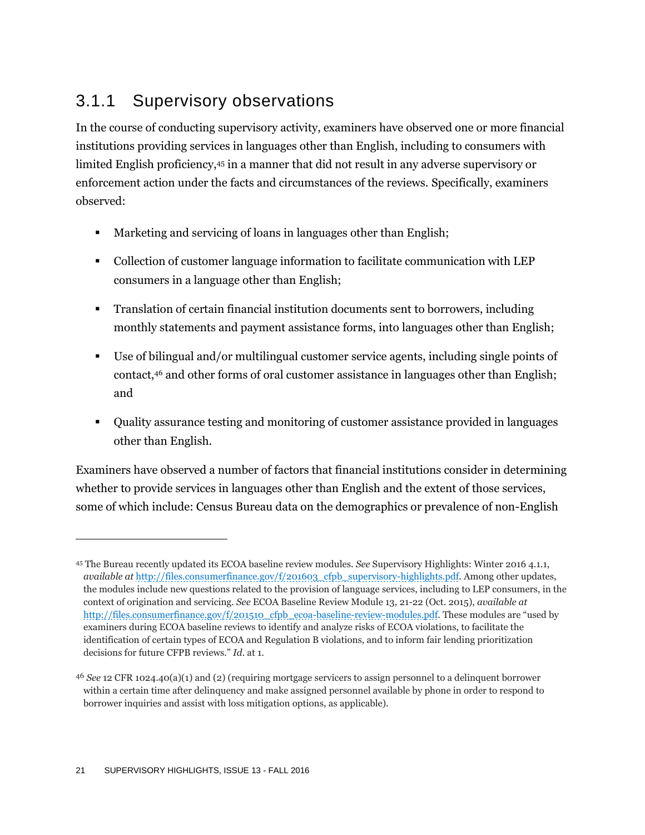### 3.1.1 Supervisory observations

In the course of conducting supervisory activity, examiners have observed one or more financial institutions providing services in languages other than English, including to consumers with limited English proficiency,<sup>45</sup> in a manner that did not result in any adverse supervisory or enforcement action under the facts and circumstances of the reviews. Specifically, examiners observed:

- Marketing and servicing of loans in languages other than English;
- Collection of customer language information to facilitate communication with LEP consumers in a language other than English;
- Translation of certain financial institution documents sent to borrowers, including monthly statements and payment assistance forms, into languages other than English;
- Use of bilingual and/or multilingual customer service agents, including single points of contact,<sup>46</sup> and other forms of oral customer assistance in languages other than English; and
- Quality assurance testing and monitoring of customer assistance provided in languages other than English.

Examiners have observed a number of factors that financial institutions consider in determining whether to provide services in languages other than English and the extent of those services, some of which include: Census Bureau data on the demographics or prevalence of non-English

<sup>45</sup> The Bureau recently updated its ECOA baseline review modules. *See* Supervisory Highlights: Winter 2016 4.1.1, *available at* [http://files.consumerfinance.gov/f/201603\\_cfpb\\_supervisory-highlights.pdf.](http://files.consumerfinance.gov/f/201603_cfpb_supervisory-highlights.pdf) Among other updates, the modules include new questions related to the provision of language services, including to LEP consumers, in the context of origination and servicing. *See* ECOA Baseline Review Module 13, 21-22 (Oct. 2015), *available at* [http://files.consumerfinance.gov/f/201510\\_cfpb\\_ecoa-baseline-review-modules.pdf.](http://files.consumerfinance.gov/f/201510_cfpb_ecoa-baseline-review-modules.pdf) These modules are "used by examiners during ECOA baseline reviews to identify and analyze risks of ECOA violations, to facilitate the identification of certain types of ECOA and Regulation B violations, and to inform fair lending prioritization decisions for future CFPB reviews." *Id.* at 1.

<sup>46</sup> *See* 12 CFR 1024.40(a)(1) and (2) (requiring mortgage servicers to assign personnel to a delinquent borrower within a certain time after delinquency and make assigned personnel available by phone in order to respond to borrower inquiries and assist with loss mitigation options, as applicable).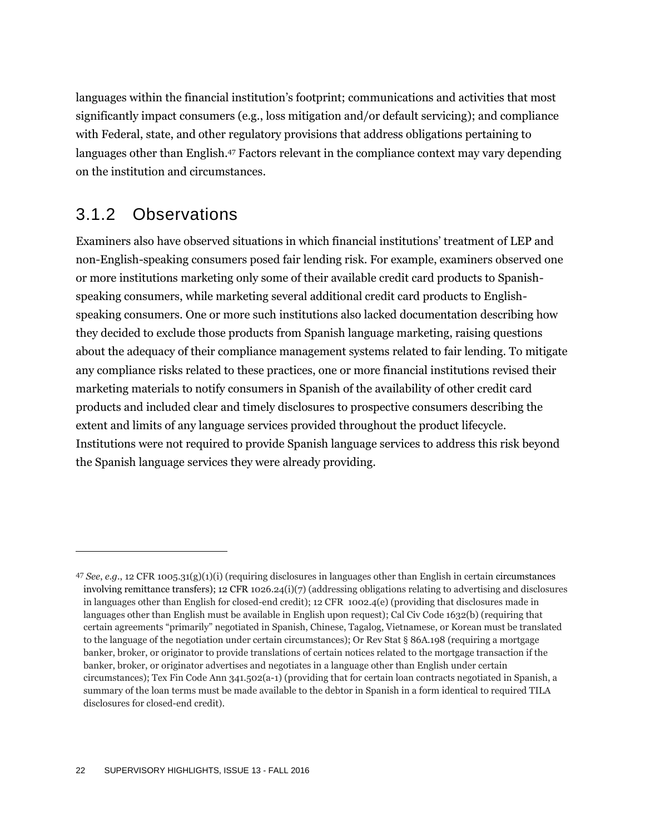languages within the financial institution's footprint; communications and activities that most significantly impact consumers (e.g., loss mitigation and/or default servicing); and compliance with Federal, state, and other regulatory provisions that address obligations pertaining to languages other than English.<sup>47</sup> Factors relevant in the compliance context may vary depending on the institution and circumstances.

### 3.1.2 Observations

 $\overline{a}$ 

Examiners also have observed situations in which financial institutions' treatment of LEP and non-English-speaking consumers posed fair lending risk. For example, examiners observed one or more institutions marketing only some of their available credit card products to Spanishspeaking consumers, while marketing several additional credit card products to Englishspeaking consumers. One or more such institutions also lacked documentation describing how they decided to exclude those products from Spanish language marketing, raising questions about the adequacy of their compliance management systems related to fair lending. To mitigate any compliance risks related to these practices, one or more financial institutions revised their marketing materials to notify consumers in Spanish of the availability of other credit card products and included clear and timely disclosures to prospective consumers describing the extent and limits of any language services provided throughout the product lifecycle. Institutions were not required to provide Spanish language services to address this risk beyond the Spanish language services they were already providing.

<sup>47</sup> *See*, *e.g.*, 12 CFR 1005.31(g)(1)(i) (requiring disclosures in languages other than English in certain circumstances involving remittance transfers); 12 CFR 1026.24(i)(7) (addressing obligations relating to advertising and disclosures in languages other than English for closed-end credit); 12 CFR 1002.4(e) (providing that disclosures made in languages other than English must be available in English upon request); Cal Civ Code 1632(b) (requiring that certain agreements "primarily" negotiated in Spanish, Chinese, Tagalog, Vietnamese, or Korean must be translated to the language of the negotiation under certain circumstances); Or Rev Stat § 86A.198 (requiring a mortgage banker, broker, or originator to provide translations of certain notices related to the mortgage transaction if the banker, broker, or originator advertises and negotiates in a language other than English under certain circumstances); Tex Fin Code Ann 341.502(a-1) (providing that for certain loan contracts negotiated in Spanish, a summary of the loan terms must be made available to the debtor in Spanish in a form identical to required TILA disclosures for closed-end credit).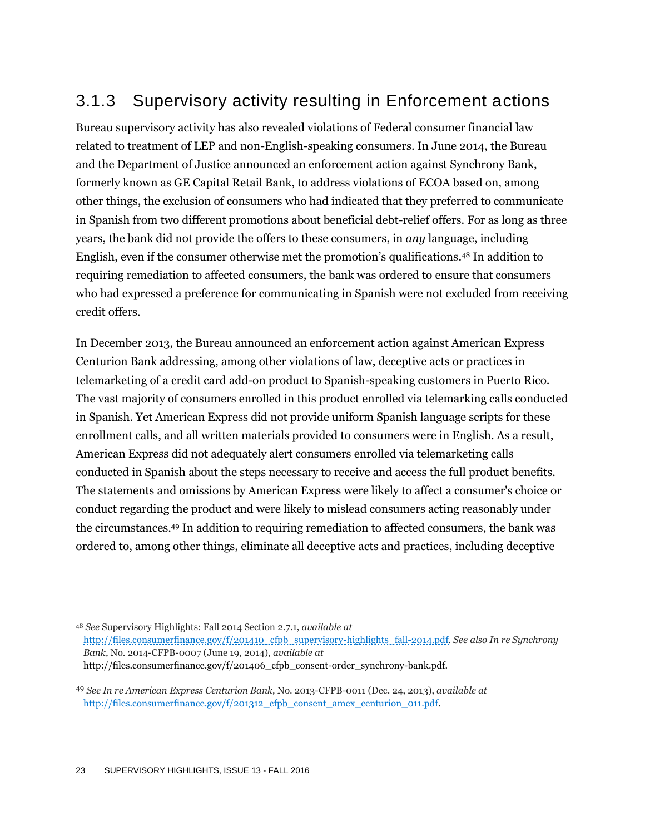### 3.1.3 Supervisory activity resulting in Enforcement actions

Bureau supervisory activity has also revealed violations of Federal consumer financial law related to treatment of LEP and non-English-speaking consumers. In June 2014, the Bureau and the Department of Justice announced an enforcement action against Synchrony Bank, formerly known as GE Capital Retail Bank, to address violations of ECOA based on, among other things, the exclusion of consumers who had indicated that they preferred to communicate in Spanish from two different promotions about beneficial debt-relief offers. For as long as three years, the bank did not provide the offers to these consumers, in *any* language, including English, even if the consumer otherwise met the promotion's qualifications. <sup>48</sup> In addition to requiring remediation to affected consumers, the bank was ordered to ensure that consumers who had expressed a preference for communicating in Spanish were not excluded from receiving credit offers.

In December 2013, the Bureau announced an enforcement action against American Express Centurion Bank addressing, among other violations of law, deceptive acts or practices in telemarketing of a credit card add-on product to Spanish-speaking customers in Puerto Rico. The vast majority of consumers enrolled in this product enrolled via telemarking calls conducted in Spanish. Yet American Express did not provide uniform Spanish language scripts for these enrollment calls, and all written materials provided to consumers were in English. As a result, American Express did not adequately alert consumers enrolled via telemarketing calls conducted in Spanish about the steps necessary to receive and access the full product benefits. The statements and omissions by American Express were likely to affect a consumer's choice or conduct regarding the product and were likely to mislead consumers acting reasonably under the circumstances. <sup>49</sup> In addition to requiring remediation to affected consumers, the bank was ordered to, among other things, eliminate all deceptive acts and practices, including deceptive

<sup>48</sup> *See* Supervisory Highlights: Fall 2014 Section 2.7.1, *available at* [http://files.consumerfinance.gov/f/201410\\_cfpb\\_supervisory-highlights\\_fall-2014.pdf.](http://files.consumerfinance.gov/f/201410_cfpb_supervisory-highlights_fall-2014.pdf) *See also In re Synchrony Bank*, No. 2014-CFPB-0007 (June 19, 2014), *available at*  [http://files.consumerfinance.gov/f/201406\\_cfpb\\_consent-order\\_synchrony-bank.pdf.](http://files.consumerfinance.gov/f/201406_cfpb_consent-order_synchrony-bank.pdf)

<sup>49</sup> *See In re American Express Centurion Bank,* No. 2013-CFPB-0011 (Dec. 24, 2013), *available at*  [http://files.consumerfinance.gov/f/201312\\_cfpb\\_consent\\_amex\\_centurion\\_011.pdf.](http://files.consumerfinance.gov/f/201312_cfpb_consent_amex_centurion_011.pdf)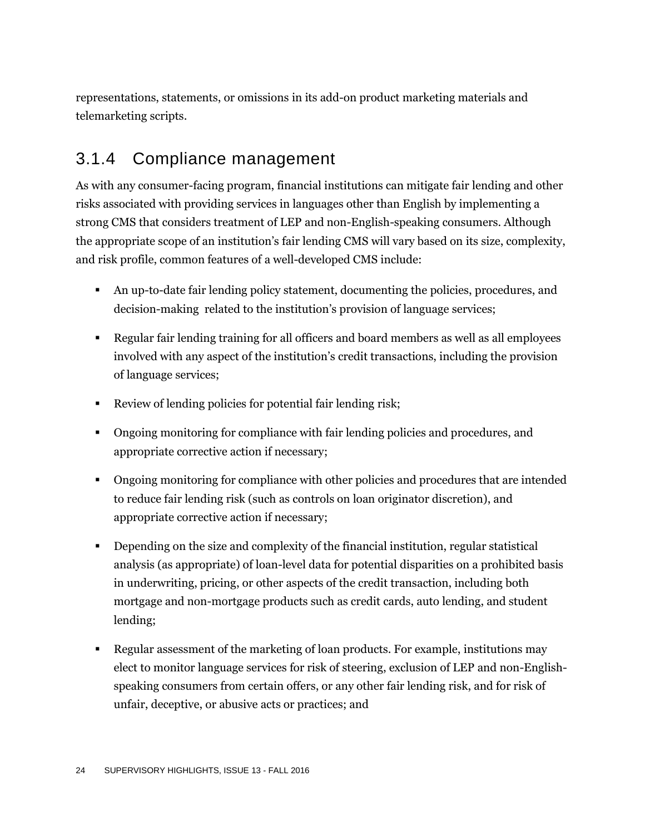representations, statements, or omissions in its add-on product marketing materials and telemarketing scripts.

### 3.1.4 Compliance management

As with any consumer-facing program, financial institutions can mitigate fair lending and other risks associated with providing services in languages other than English by implementing a strong CMS that considers treatment of LEP and non-English-speaking consumers. Although the appropriate scope of an institution's fair lending CMS will vary based on its size, complexity, and risk profile, common features of a well-developed CMS include:

- An up-to-date fair lending policy statement, documenting the policies, procedures, and decision-making related to the institution's provision of language services;
- Regular fair lending training for all officers and board members as well as all employees involved with any aspect of the institution's credit transactions, including the provision of language services;
- Review of lending policies for potential fair lending risk;
- Ongoing monitoring for compliance with fair lending policies and procedures, and appropriate corrective action if necessary;
- Ongoing monitoring for compliance with other policies and procedures that are intended to reduce fair lending risk (such as controls on loan originator discretion), and appropriate corrective action if necessary;
- Depending on the size and complexity of the financial institution, regular statistical analysis (as appropriate) of loan-level data for potential disparities on a prohibited basis in underwriting, pricing, or other aspects of the credit transaction, including both mortgage and non-mortgage products such as credit cards, auto lending, and student lending;
- Regular assessment of the marketing of loan products. For example, institutions may elect to monitor language services for risk of steering, exclusion of LEP and non-Englishspeaking consumers from certain offers, or any other fair lending risk, and for risk of unfair, deceptive, or abusive acts or practices; and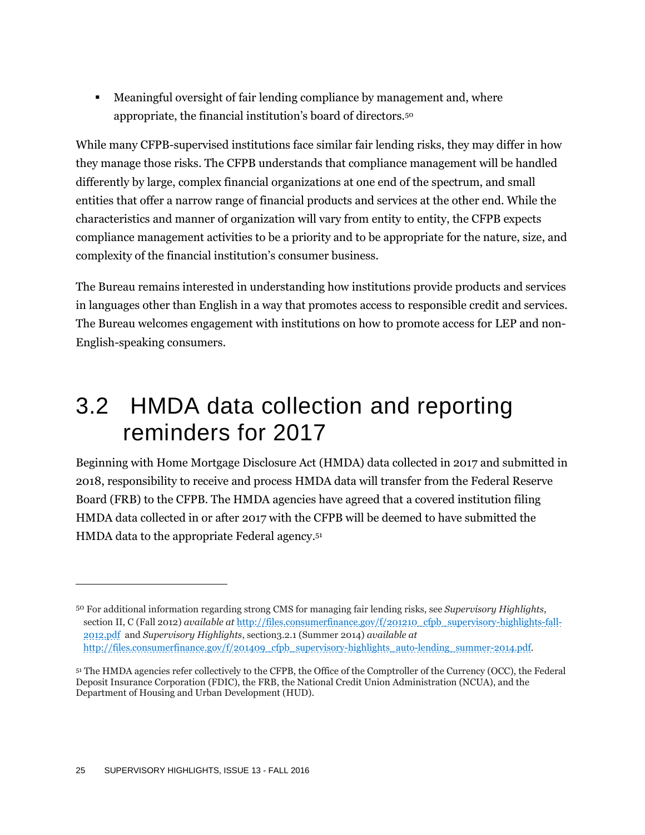Meaningful oversight of fair lending compliance by management and, where appropriate, the financial institution's board of directors.<sup>50</sup>

While many CFPB-supervised institutions face similar fair lending risks, they may differ in how they manage those risks. The CFPB understands that compliance management will be handled differently by large, complex financial organizations at one end of the spectrum, and small entities that offer a narrow range of financial products and services at the other end. While the characteristics and manner of organization will vary from entity to entity, the CFPB expects compliance management activities to be a priority and to be appropriate for the nature, size, and complexity of the financial institution's consumer business.

The Bureau remains interested in understanding how institutions provide products and services in languages other than English in a way that promotes access to responsible credit and services. The Bureau welcomes engagement with institutions on how to promote access for LEP and non-English-speaking consumers.

### 3.2 HMDA data collection and reporting reminders for 2017

Beginning with Home Mortgage Disclosure Act (HMDA) data collected in 2017 and submitted in 2018, responsibility to receive and process HMDA data will transfer from the Federal Reserve Board (FRB) to the CFPB. The HMDA agencies have agreed that a covered institution filing HMDA data collected in or after 2017 with the CFPB will be deemed to have submitted the HMDA data to the appropriate Federal agency. 51

<sup>50</sup> For additional information regarding strong CMS for managing fair lending risks, see *Supervisory Highlights*, section II, C (Fall 2012) *available at* [http://files.consumerfinance.gov/f/201210\\_cfpb\\_supervisory-highlights-fall-](http://files.consumerfinance.gov/f/201210_cfpb_supervisory-highlights-fall-2012.pdf)[2012.pdf](http://files.consumerfinance.gov/f/201210_cfpb_supervisory-highlights-fall-2012.pdf) and *Supervisory Highlights*, section3.2.1 (Summer 2014) *available at* [http://files.consumerfinance.gov/f/201409\\_cfpb\\_supervisory-highlights\\_auto-lending\\_summer-2014.pdf.](http://files.consumerfinance.gov/f/201409_cfpb_supervisory-highlights_auto-lending_summer-2014.pdf)

<sup>51</sup> The HMDA agencies refer collectively to the CFPB, the Office of the Comptroller of the Currency (OCC), the Federal Deposit Insurance Corporation (FDIC), the FRB, the National Credit Union Administration (NCUA), and the Department of Housing and Urban Development (HUD).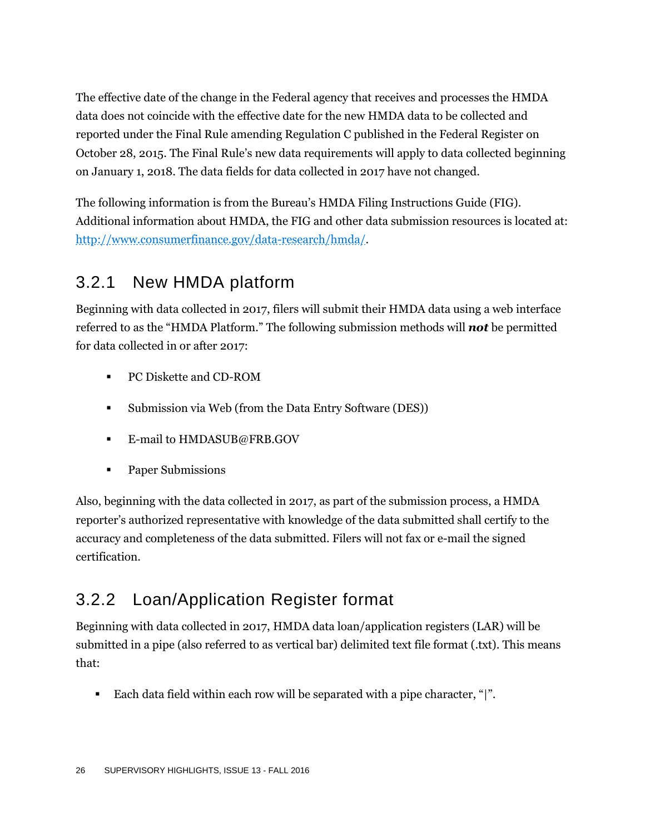The effective date of the change in the Federal agency that receives and processes the HMDA data does not coincide with the effective date for the new HMDA data to be collected and reported under the Final Rule amending Regulation C published in the Federal Register on October 28, 2015. The Final Rule's new data requirements will apply to data collected beginning on January 1, 2018. The data fields for data collected in 2017 have not changed.

The following information is from the Bureau's HMDA Filing Instructions Guide (FIG). Additional information about HMDA, the FIG and other data submission resources is located at: [http://www.consumerfinance.gov/data-research/hmda/.](http://www.consumerfinance.gov/data-research/hmda/)

### 3.2.1 New HMDA platform

Beginning with data collected in 2017, filers will submit their HMDA data using a web interface referred to as the "HMDA Platform." The following submission methods will *not* be permitted for data collected in or after 2017:

- PC Diskette and CD-ROM
- Submission via Web (from the Data Entry Software (DES))
- **E-mail to HMDASUB@FRB.GOV**
- Paper Submissions

Also, beginning with the data collected in 2017, as part of the submission process, a HMDA reporter's authorized representative with knowledge of the data submitted shall certify to the accuracy and completeness of the data submitted. Filers will not fax or e-mail the signed certification.

### 3.2.2 Loan/Application Register format

Beginning with data collected in 2017, HMDA data loan/application registers (LAR) will be submitted in a pipe (also referred to as vertical bar) delimited text file format (.txt). This means that:

Each data field within each row will be separated with a pipe character, "|".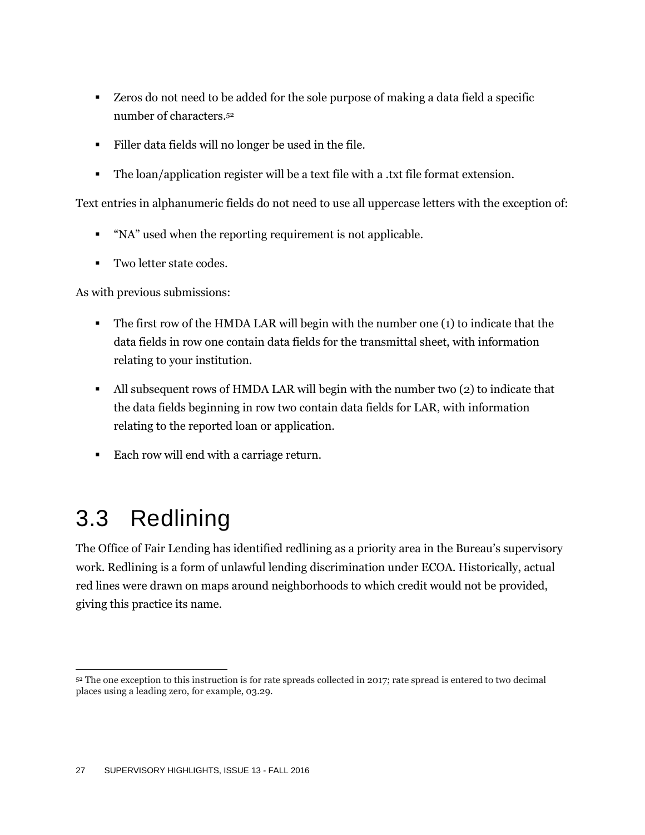- Zeros do not need to be added for the sole purpose of making a data field a specific number of characters. 52
- Filler data fields will no longer be used in the file.
- The loan/application register will be a text file with a .txt file format extension.

Text entries in alphanumeric fields do not need to use all uppercase letters with the exception of:

- "NA" used when the reporting requirement is not applicable.
- Two letter state codes.

As with previous submissions:

- The first row of the HMDA LAR will begin with the number one (1) to indicate that the data fields in row one contain data fields for the transmittal sheet, with information relating to your institution.
- All subsequent rows of HMDA LAR will begin with the number two (2) to indicate that the data fields beginning in row two contain data fields for LAR, with information relating to the reported loan or application.
- Each row will end with a carriage return.

## 3.3 Redlining

The Office of Fair Lending has identified redlining as a priority area in the Bureau's supervisory work. Redlining is a form of unlawful lending discrimination under ECOA. Historically, actual red lines were drawn on maps around neighborhoods to which credit would not be provided, giving this practice its name.

 $\overline{a}$ <sup>52</sup> The one exception to this instruction is for rate spreads collected in 2017; rate spread is entered to two decimal places using a leading zero, for example, 03.29.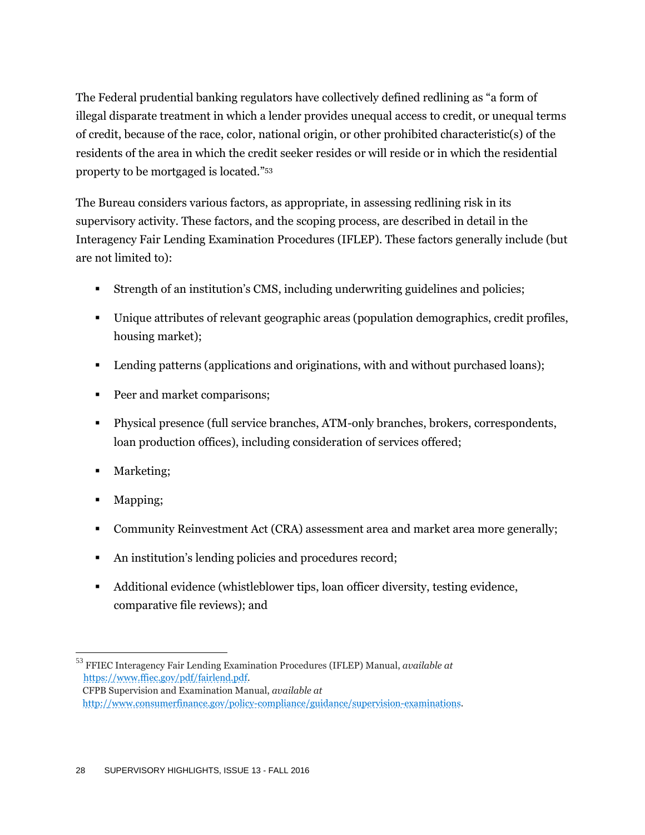The Federal prudential banking regulators have collectively defined redlining as "a form of illegal disparate treatment in which a lender provides unequal access to credit, or unequal terms of credit, because of the race, color, national origin, or other prohibited characteristic(s) of the residents of the area in which the credit seeker resides or will reside or in which the residential property to be mortgaged is located."<sup>53</sup>

The Bureau considers various factors, as appropriate, in assessing redlining risk in its supervisory activity. These factors, and the scoping process, are described in detail in the Interagency Fair Lending Examination Procedures (IFLEP). These factors generally include (but are not limited to):

- Strength of an institution's CMS, including underwriting guidelines and policies;
- Unique attributes of relevant geographic areas (population demographics, credit profiles, housing market);
- **Lending patterns (applications and originations, with and without purchased loans);**
- **Peer and market comparisons;**
- Physical presence (full service branches, ATM-only branches, brokers, correspondents, loan production offices), including consideration of services offered;
- Marketing;
- Mapping;
- Community Reinvestment Act (CRA) assessment area and market area more generally;
- An institution's lending policies and procedures record;
- Additional evidence (whistleblower tips, loan officer diversity, testing evidence, comparative file reviews); and

 $\overline{a}$ <sup>53</sup> FFIEC Interagency Fair Lending Examination Procedures (IFLEP) Manual, *available at* [https://www.ffiec.gov/pdf/fairlend.pdf.](https://www.ffiec.gov/pdf/fairlend.pdf) CFPB Supervision and Examination Manual, *available at*  [http://www.consumerfinance.gov/policy-compliance/guidance/supervision-examinations.](http://www.consumerfinance.gov/policy-compliance/guidance/supervision-examinations)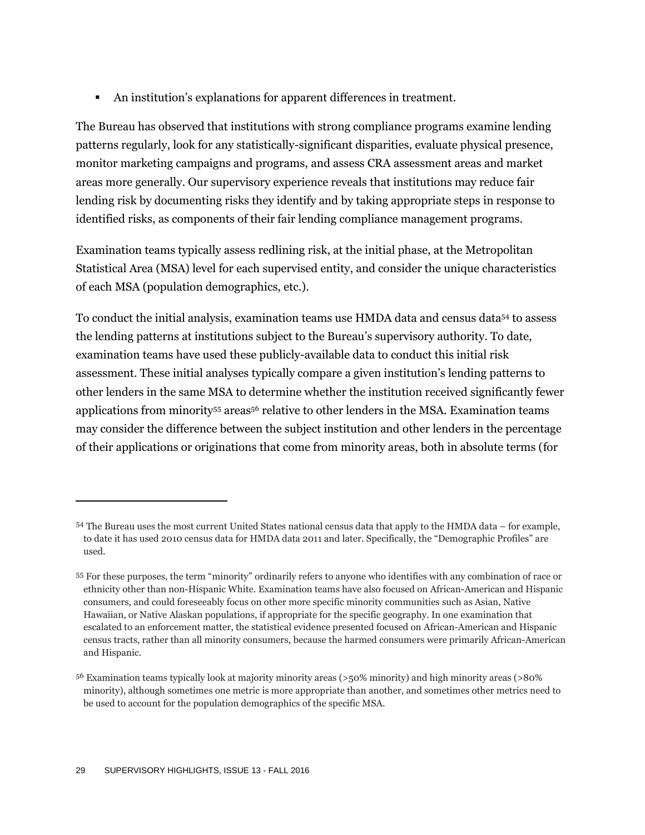An institution's explanations for apparent differences in treatment.

The Bureau has observed that institutions with strong compliance programs examine lending patterns regularly, look for any statistically-significant disparities, evaluate physical presence, monitor marketing campaigns and programs, and assess CRA assessment areas and market areas more generally. Our supervisory experience reveals that institutions may reduce fair lending risk by documenting risks they identify and by taking appropriate steps in response to identified risks, as components of their fair lending compliance management programs.

Examination teams typically assess redlining risk, at the initial phase, at the Metropolitan Statistical Area (MSA) level for each supervised entity, and consider the unique characteristics of each MSA (population demographics, etc.).

To conduct the initial analysis, examination teams use HMDA data and census data<sup>54</sup> to assess the lending patterns at institutions subject to the Bureau's supervisory authority. To date, examination teams have used these publicly-available data to conduct this initial risk assessment. These initial analyses typically compare a given institution's lending patterns to other lenders in the same MSA to determine whether the institution received significantly fewer applications from minority<sup>55</sup> areas<sup>56</sup> relative to other lenders in the MSA. Examination teams may consider the difference between the subject institution and other lenders in the percentage of their applications or originations that come from minority areas, both in absolute terms (for

<sup>54</sup> The Bureau uses the most current United States national census data that apply to the HMDA data – for example, to date it has used 2010 census data for HMDA data 2011 and later. Specifically, the "Demographic Profiles" are used.

<sup>55</sup> For these purposes, the term "minority" ordinarily refers to anyone who identifies with any combination of race or ethnicity other than non-Hispanic White. Examination teams have also focused on African-American and Hispanic consumers, and could foreseeably focus on other more specific minority communities such as Asian, Native Hawaiian, or Native Alaskan populations, if appropriate for the specific geography. In one examination that escalated to an enforcement matter, the statistical evidence presented focused on African-American and Hispanic census tracts, rather than all minority consumers, because the harmed consumers were primarily African-American and Hispanic.

<sup>56</sup> Examination teams typically look at majority minority areas (>50% minority) and high minority areas (>80% minority), although sometimes one metric is more appropriate than another, and sometimes other metrics need to be used to account for the population demographics of the specific MSA.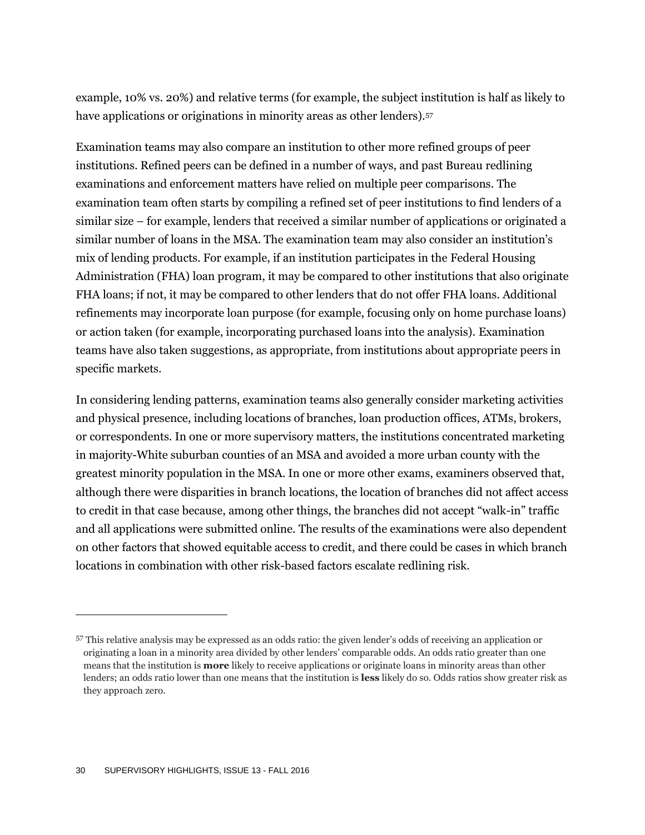example, 10% vs. 20%) and relative terms (for example, the subject institution is half as likely to have applications or originations in minority areas as other lenders).<sup>57</sup>

Examination teams may also compare an institution to other more refined groups of peer institutions. Refined peers can be defined in a number of ways, and past Bureau redlining examinations and enforcement matters have relied on multiple peer comparisons. The examination team often starts by compiling a refined set of peer institutions to find lenders of a similar size – for example, lenders that received a similar number of applications or originated a similar number of loans in the MSA. The examination team may also consider an institution's mix of lending products. For example, if an institution participates in the Federal Housing Administration (FHA) loan program, it may be compared to other institutions that also originate FHA loans; if not, it may be compared to other lenders that do not offer FHA loans. Additional refinements may incorporate loan purpose (for example, focusing only on home purchase loans) or action taken (for example, incorporating purchased loans into the analysis). Examination teams have also taken suggestions, as appropriate, from institutions about appropriate peers in specific markets.

In considering lending patterns, examination teams also generally consider marketing activities and physical presence, including locations of branches, loan production offices, ATMs, brokers, or correspondents. In one or more supervisory matters, the institutions concentrated marketing in majority-White suburban counties of an MSA and avoided a more urban county with the greatest minority population in the MSA. In one or more other exams, examiners observed that, although there were disparities in branch locations, the location of branches did not affect access to credit in that case because, among other things, the branches did not accept "walk-in" traffic and all applications were submitted online. The results of the examinations were also dependent on other factors that showed equitable access to credit, and there could be cases in which branch locations in combination with other risk-based factors escalate redlining risk.

<sup>57</sup> This relative analysis may be expressed as an odds ratio: the given lender's odds of receiving an application or originating a loan in a minority area divided by other lenders' comparable odds. An odds ratio greater than one means that the institution is **more** likely to receive applications or originate loans in minority areas than other lenders; an odds ratio lower than one means that the institution is **less** likely do so. Odds ratios show greater risk as they approach zero.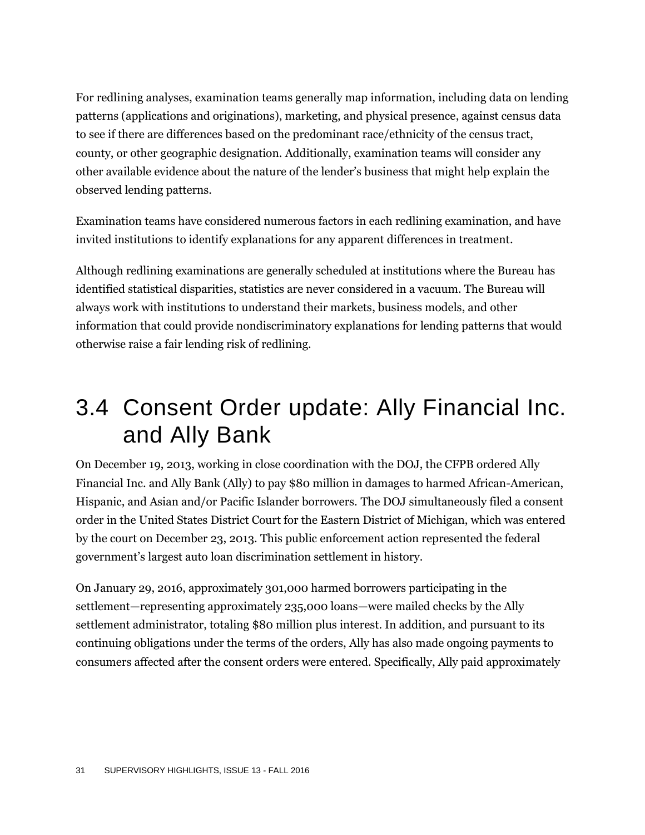For redlining analyses, examination teams generally map information, including data on lending patterns (applications and originations), marketing, and physical presence, against census data to see if there are differences based on the predominant race/ethnicity of the census tract, county, or other geographic designation. Additionally, examination teams will consider any other available evidence about the nature of the lender's business that might help explain the observed lending patterns.

Examination teams have considered numerous factors in each redlining examination, and have invited institutions to identify explanations for any apparent differences in treatment.

Although redlining examinations are generally scheduled at institutions where the Bureau has identified statistical disparities, statistics are never considered in a vacuum. The Bureau will always work with institutions to understand their markets, business models, and other information that could provide nondiscriminatory explanations for lending patterns that would otherwise raise a fair lending risk of redlining.

### 3.4 Consent Order update: Ally Financial Inc. and Ally Bank

On December 19, 2013, working in close coordination with the DOJ, the CFPB ordered Ally Financial Inc. and Ally Bank (Ally) to pay \$80 million in damages to harmed African-American, Hispanic, and Asian and/or Pacific Islander borrowers. The DOJ simultaneously filed a consent order in the United States District Court for the Eastern District of Michigan, which was entered by the court on December 23, 2013. This public enforcement action represented the federal government's largest auto loan discrimination settlement in history.

On January 29, 2016, approximately 301,000 harmed borrowers participating in the settlement—representing approximately 235,000 loans—were mailed checks by the Ally settlement administrator, totaling \$80 million plus interest. In addition, and pursuant to its continuing obligations under the terms of the orders, Ally has also made ongoing payments to consumers affected after the consent orders were entered. Specifically, Ally paid approximately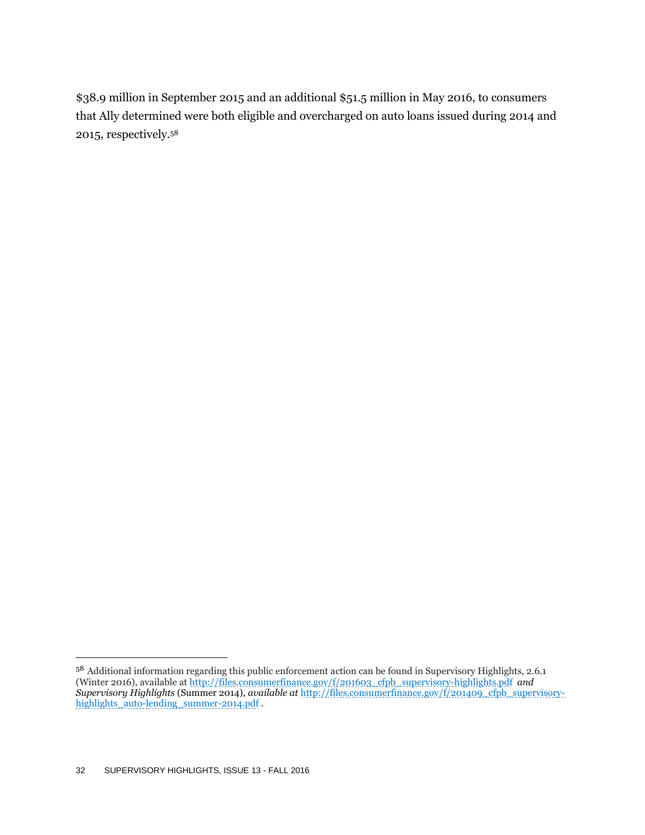\$38.9 million in September 2015 and an additional \$51.5 million in May 2016, to consumers that Ally determined were both eligible and overcharged on auto loans issued during 2014 and 2015, respectively. 58

 $58$  Additional information regarding this public enforcement action can be found in Supervisory Highlights, 2.6.1 (Winter 2016), available at [http://files.consumerfinance.gov/f/201603\\_cfpb\\_supervisory-highlights.pdf](http://files.consumerfinance.gov/f/201603_cfpb_supervisory-highlights.pdf) *and Supervisory Highlights* (Summer 2014), *available at* [http://files.consumerfinance.gov/f/201409\\_cfpb\\_supervisory](http://files.consumerfinance.gov/f/201409_cfpb_supervisory-highlights_auto-lending_summer-2014.pdf)[highlights\\_auto-lending\\_summer-2014.pdf](http://files.consumerfinance.gov/f/201409_cfpb_supervisory-highlights_auto-lending_summer-2014.pdf) .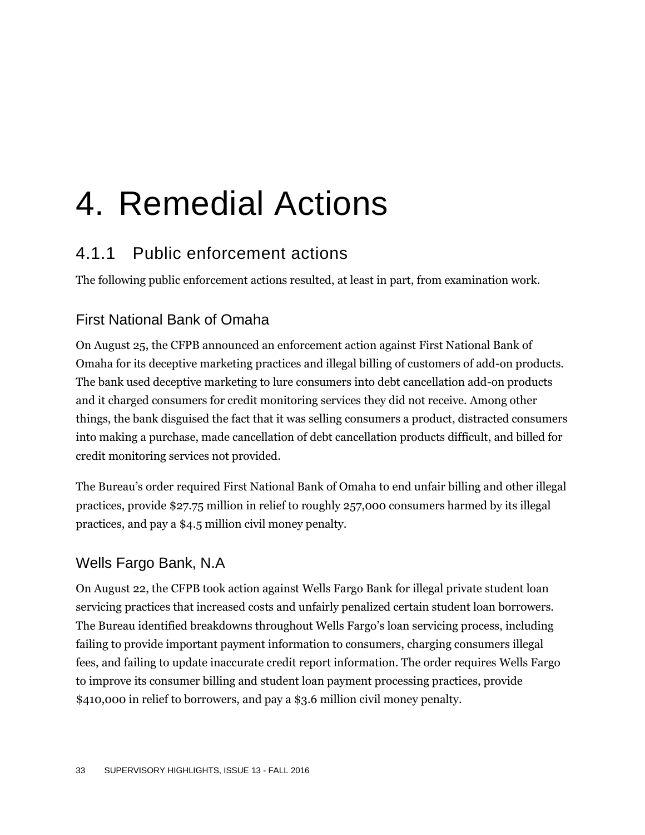## 4. Remedial Actions

### 4.1.1 Public enforcement actions

The following public enforcement actions resulted, at least in part, from examination work.

#### First National Bank of Omaha

On August 25, the CFPB announced an enforcement action against First National Bank of Omaha for its deceptive marketing practices and illegal billing of customers of add-on products. The bank used deceptive marketing to lure consumers into debt cancellation add-on products and it charged consumers for credit monitoring services they did not receive. Among other things, the bank disguised the fact that it was selling consumers a product, distracted consumers into making a purchase, made cancellation of debt cancellation products difficult, and billed for credit monitoring services not provided.

The Bureau's order required First National Bank of Omaha to end unfair billing and other illegal practices, provide \$27.75 million in relief to roughly 257,000 consumers harmed by its illegal practices, and pay a \$4.5 million civil money penalty.

#### Wells Fargo Bank, N.A

On August 22, the CFPB took action against Wells Fargo Bank for illegal private student loan servicing practices that increased costs and unfairly penalized certain student loan borrowers. The Bureau identified breakdowns throughout Wells Fargo's loan servicing process, including failing to provide important payment information to consumers, charging consumers illegal fees, and failing to update inaccurate credit report information. The order requires Wells Fargo to improve its consumer billing and student loan payment processing practices, provide \$410,000 in relief to borrowers, and pay a \$3.6 million civil money penalty.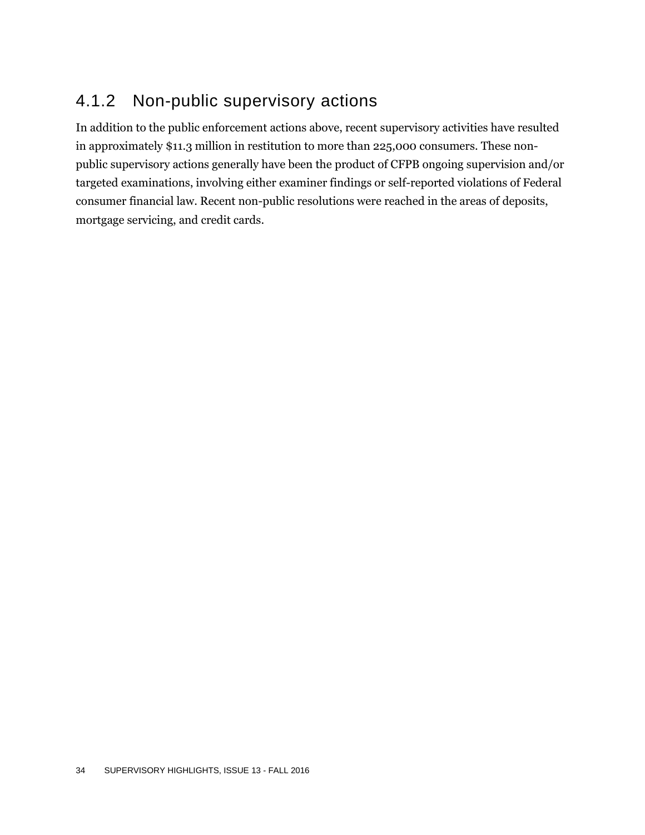### 4.1.2 Non-public supervisory actions

In addition to the public enforcement actions above, recent supervisory activities have resulted in approximately \$11.3 million in restitution to more than 225,000 consumers. These nonpublic supervisory actions generally have been the product of CFPB ongoing supervision and/or targeted examinations, involving either examiner findings or self-reported violations of Federal consumer financial law. Recent non-public resolutions were reached in the areas of deposits, mortgage servicing, and credit cards.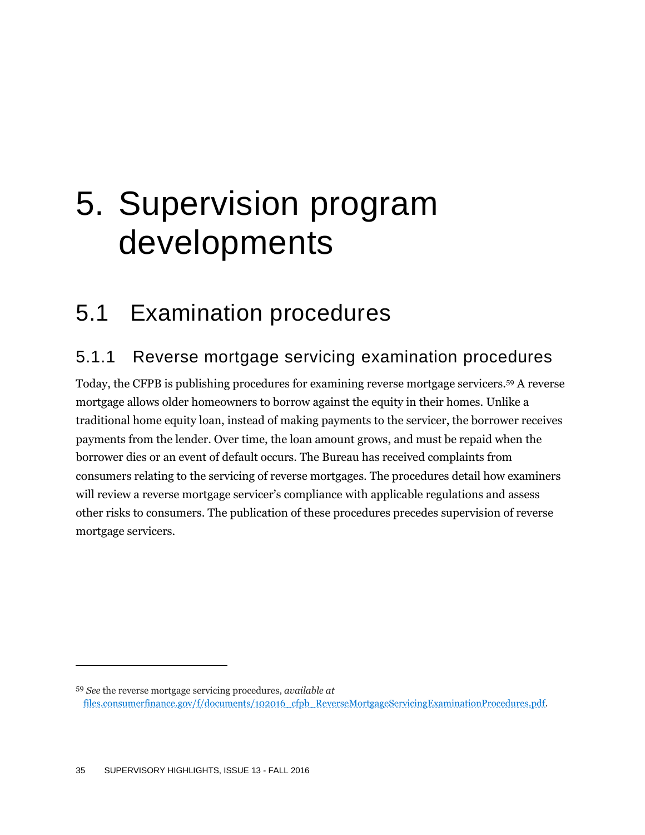## 5. Supervision program developments

### 5.1 Examination procedures

### 5.1.1 Reverse mortgage servicing examination procedures

Today, the CFPB is publishing procedures for examining reverse mortgage servicers.<sup>59</sup> A reverse mortgage allows older homeowners to borrow against the equity in their homes. Unlike a traditional home equity loan, instead of making payments to the servicer, the borrower receives payments from the lender. Over time, the loan amount grows, and must be repaid when the borrower dies or an event of default occurs. The Bureau has received complaints from consumers relating to the servicing of reverse mortgages. The procedures detail how examiners will review a reverse mortgage servicer's compliance with applicable regulations and assess other risks to consumers. The publication of these procedures precedes supervision of reverse mortgage servicers.

<sup>59</sup> *See* the reverse mortgage servicing procedures, *available at* [files.consumerfinance.gov/f/documents/102016\\_cfpb\\_ReverseMortgageServicingExaminationProcedures.pdf.](files.consumerfinance.gov/f/documents/102016_cfpb_ReverseMortgageServicingExaminationProcedures.pdf)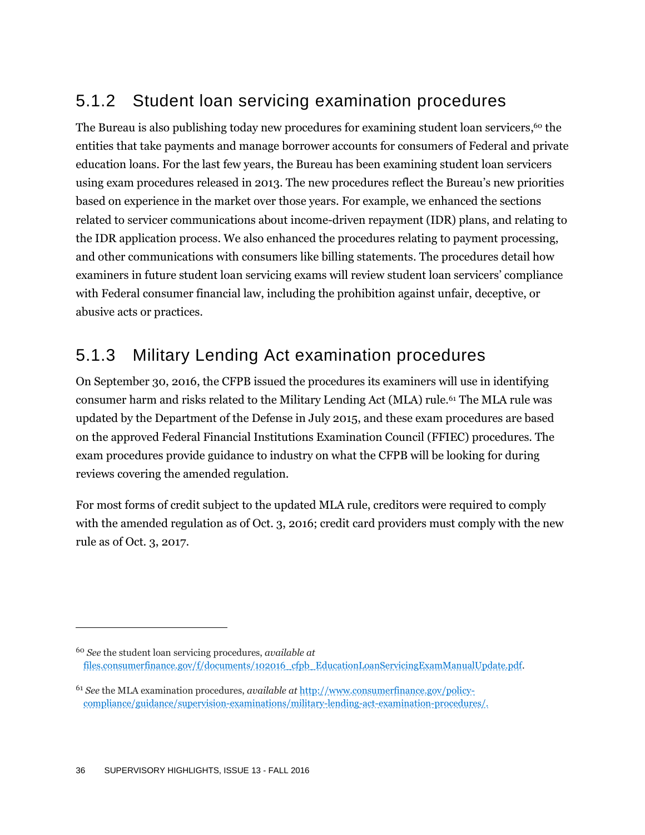### 5.1.2 Student loan servicing examination procedures

The Bureau is also publishing today new procedures for examining student loan servicers,<sup>60</sup> the entities that take payments and manage borrower accounts for consumers of Federal and private education loans. For the last few years, the Bureau has been examining student loan servicers using exam procedures released in 2013. The new procedures reflect the Bureau's new priorities based on experience in the market over those years. For example, we enhanced the sections related to servicer communications about income-driven repayment (IDR) plans, and relating to the IDR application process. We also enhanced the procedures relating to payment processing, and other communications with consumers like billing statements. The procedures detail how examiners in future student loan servicing exams will review student loan servicers' compliance with Federal consumer financial law, including the prohibition against unfair, deceptive, or abusive acts or practices.

### 5.1.3 Military Lending Act examination procedures

On September 30, 2016, the CFPB issued the procedures its examiners will use in identifying consumer harm and risks related to the Military Lending Act (MLA) rule.<sup>61</sup> The MLA rule was updated by the Department of the Defense in July 2015, and these exam procedures are based on the approved Federal Financial Institutions Examination Council (FFIEC) procedures. The exam procedures provide guidance to industry on what the CFPB will be looking for during reviews covering the amended regulation.

For most forms of credit subject to the updated MLA rule, creditors were required to comply with the amended regulation as of Oct. 3, 2016; credit card providers must comply with the new rule as of Oct. 3, 2017.

<sup>60</sup> *See* the student loan servicing procedures, *available at* [files.consumerfinance.gov/f/documents/102016\\_cfpb\\_EducationLoanServicingExamManualUpdate.pdf.](files.consumerfinance.gov/f/documents/102016_cfpb_EducationLoanServicingExamManualUpdate.pdf)

<sup>61</sup> *See* the MLA examination procedures, *available at* [http://www.consumerfinance.gov/policy](http://www.consumerfinance.gov/policy-compliance/guidance/supervision-examinations/military-lending-act-examination-procedures/)[compliance/guidance/supervision-examinations/military-lending-act-examination-procedures/.](http://www.consumerfinance.gov/policy-compliance/guidance/supervision-examinations/military-lending-act-examination-procedures/)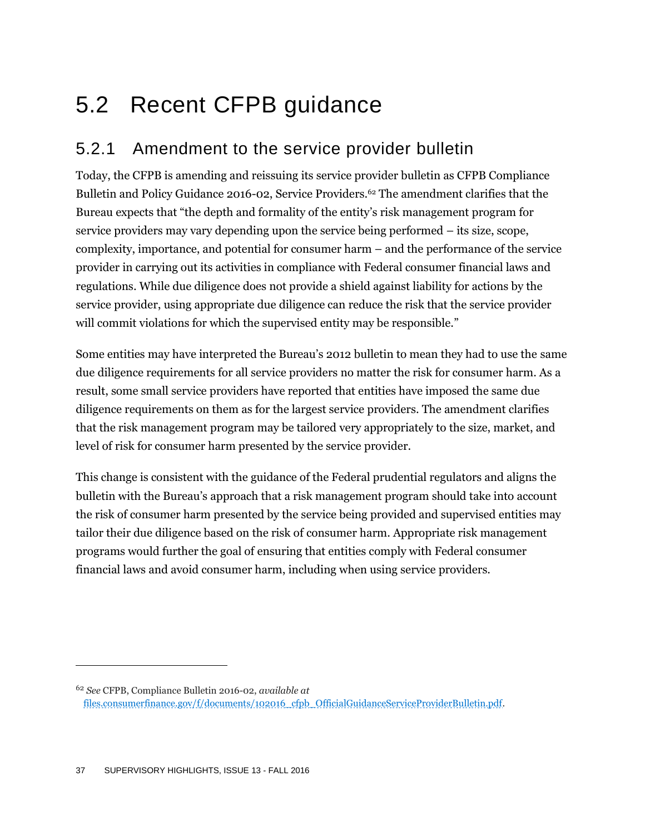## 5.2 Recent CFPB guidance

### 5.2.1 Amendment to the service provider bulletin

Today, the CFPB is amending and reissuing its service provider bulletin as CFPB Compliance Bulletin and Policy Guidance 2016-02, Service Providers.<sup>62</sup> The amendment clarifies that the Bureau expects that "the depth and formality of the entity's risk management program for service providers may vary depending upon the service being performed – its size, scope, complexity, importance, and potential for consumer harm – and the performance of the service provider in carrying out its activities in compliance with Federal consumer financial laws and regulations. While due diligence does not provide a shield against liability for actions by the service provider, using appropriate due diligence can reduce the risk that the service provider will commit violations for which the supervised entity may be responsible."

Some entities may have interpreted the Bureau's 2012 bulletin to mean they had to use the same due diligence requirements for all service providers no matter the risk for consumer harm. As a result, some small service providers have reported that entities have imposed the same due diligence requirements on them as for the largest service providers. The amendment clarifies that the risk management program may be tailored very appropriately to the size, market, and level of risk for consumer harm presented by the service provider.

This change is consistent with the guidance of the Federal prudential regulators and aligns the bulletin with the Bureau's approach that a risk management program should take into account the risk of consumer harm presented by the service being provided and supervised entities may tailor their due diligence based on the risk of consumer harm. Appropriate risk management programs would further the goal of ensuring that entities comply with Federal consumer financial laws and avoid consumer harm, including when using service providers.

<sup>62</sup> *See* CFPB, Compliance Bulletin 2016-02, *available at* [files.consumerfinance.gov/f/documents/102016\\_cfpb\\_OfficialGuidanceServiceProviderBulletin.pdf.](files.consumerfinance.gov/f/documents/102016_cfpb_OfficialGuidanceServiceProviderBulletin.pdf)